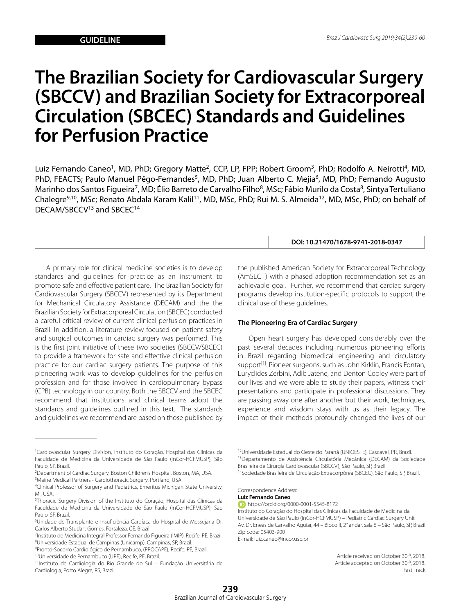# **The Brazilian Society for Cardiovascular Surgery (SBCCV) and Brazilian Society for Extracorporeal Circulation (SBCEC) Standards and Guidelines for Perfusion Practice**

Luiz Fernando Caneo<sup>1</sup>, MD, PhD; Gregory Matte<sup>2</sup>, CCP, LP, FPP; Robert Groom<sup>3</sup>, PhD; Rodolfo A. Neirotti<sup>4</sup>, MD, PhD, FEACTS; Paulo Manuel Pêgo-Fernandes<sup>5</sup>, MD, PhD; Juan Alberto C. Mejia<sup>6</sup>, MD, PhD; Fernando Augusto Marinho dos Santos Figueira<sup>7</sup>, MD; Élio Barreto de Carvalho Filho<sup>8</sup>, MSc; Fábio Murilo da Costa<sup>8</sup>, Sintya Tertuliano Chalegre<sup>9,10</sup>, MSc; Renato Abdala Karam Kalil<sup>11</sup>, MD, MSc, PhD; Rui M. S. Almeida<sup>12</sup>, MD, MSc, PhD; on behalf of DECAM/SBCCV<sup>13</sup> and SBCEC<sup>14</sup>

A primary role for clinical medicine societies is to develop standards and guidelines for practice as an instrument to promote safe and effective patient care. The Brazilian Society for Cardiovascular Surgery (SBCCV) represented by its Department for Mechanical Circulatory Assistance (DECAM) and the the Brazilian Society for Extracorporeal Circulation (SBCEC) conducted a careful critical review of current clinical perfusion practices in Brazil. In addition, a literature review focused on patient safety and surgical outcomes in cardiac surgery was performed. This is the first joint initiative of these two societies (SBCCV/SBCEC) to provide a framework for safe and effective clinical perfusion practice for our cardiac surgery patients. The purpose of this pioneering work was to develop guidelines for the perfusion profession and for those involved in cardiopulmonary bypass (CPB) technology in our country. Both the SBCCV and the SBCEC recommend that institutions and clinical teams adopt the standards and guidelines outlined in this text. The standards and guidelines we recommend are based on those published by

the published American Society for Extracorporeal Technology (AmSECT) with a phased adoption recommendation set as an achievable goal. Further, we recommend that cardiac surgery programs develop institution-specific protocols to support the clinical use of these guidelines.

**DOI: 10.21470/1678-9741-2018-0347**

#### **The Pioneering Era of Cardiac Surgery**

Open heart surgery has developed considerably over the past several decades including numerous pioneering efforts in Brazil regarding biomedical engineering and circulatory support<sup>[1]</sup>. Pioneer surgeons, such as John Kirklin, Francis Fontan, Euryclides Zerbini, Adib Jatene, and Denton Cooley were part of our lives and we were able to study their papers, witness their presentations and participate in professional discussions. They are passing away one after another but their work, techniques, experience and wisdom stays with us as their legacy. The impact of their methods profoundly changed the lives of our

Correspondence Address:

**Luiz Fernando Caneo**

https://orcid.org/0000-0001-5545-8172

Instituto do Coração do Hospital das Clínicas da Faculdade de Medicina da Universidade de São Paulo (InCor-HCFMUSP) – Pediatric Cardiac Surgery Unit Av. Dr. Eneas de Carvalho Aguiar, 44 – Bloco II, 2° andar, sala 5 – São Paulo, SP, Brazil Zip code: 05403-900

E-mail: luiz.caneo@incor.usp.br

Article received on October 30<sup>th</sup>, 2018. Article accepted on October 30<sup>th</sup>, 2018. Fast Track

<sup>1</sup> Cardiovascular Surgery Division, Instituto do Coração, Hospital das Clínicas da Faculdade de Medicina da Universidade de São Paulo (InCor-HCFMUSP), São Paulo, SP, Brazil.

<sup>2</sup> Department of Cardiac Surgery, Boston Children's Hospital, Boston, MA, USA. 3 Maine Medical Partners - Cardiothoracic Surgery, Portland, USA.

<sup>4</sup> Clinical Professor of Surgery and Pediatrics, Emeritus Michigan State University, MI, USA.

<sup>5</sup> Thoracic Surgery Division of the Instituto do Coração, Hospital das Clínicas da Faculdade de Medicina da Universidade de São Paulo (InCor-HCFMUSP), São Paulo, SP, Brazil.

<sup>6</sup> Unidade de Transplante e Insuficiência Cardíaca do Hospital de Messejana Dr. Carlos Alberto Studart Gomes, Fortaleza, CE, Brazil.

<sup>&</sup>lt;sup>7</sup>Instituto de Medicina Integral Professor Fernando Figueira (IMIP), Recife, PE, Brazil. 8 Universidade Estadual de Campinas (Unicamp), Campinas, SP, Brazil.

<sup>9</sup> Pronto-Socorro Cardiológico de Pernambuco, (PROCAPE), Recife, PE, Brazil.

<sup>10</sup>Universidade de Pernambuco (UPE), Recife, PE, Brazil.

<sup>11</sup>Instituto de Cardiologia do Rio Grande do Sul – Fundação Universitária de Cardiologia, Porto Alegre, RS, Brazil.

<sup>12</sup>Universidade Estadual do Oeste do Paraná (UNIOESTE), Cascavel, PR, Brazil. 13Departamento de Assistência Circulatória Mecânica (DECAM) da Sociedade Brasileira de Cirurgia Cardiovascular (SBCCV), São Paulo, SP, Brazil. 14Sociedade Brasileira de Circulação Extracorpórea (SBCEC), São Paulo, SP, Brazil.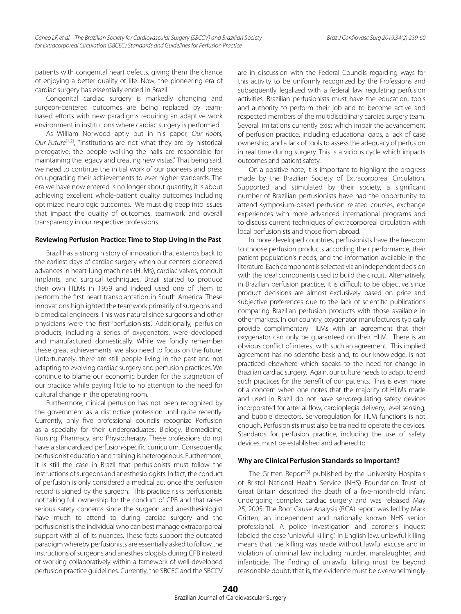patients with congenital heart defects, giving them the chance of enjoying a better quality of life. Now, the pioneering era of cardiac surgery has essentially ended in Brazil.

Congenital cardiac surgery is markedly changing and surgeon-centered outcomes are being replaced by teambased efforts with new paradigms requiring an adaptive work environment in institutions where cardiac surgery is performed.

As William Norwood aptly put in his paper, *Our Roots, Our Future*[1,2], "Institutions are not what they are by historical prerogative: the people walking the halls are responsible for maintaining the legacy and creating new vistas." That being said, we need to continue the initial work of our pioneers and press on upgrading their achievements to ever higher standards. The era we have now entered is no longer about quantity, it is about achieving excellent whole-patient quality outcomes including optimized neurologic outcomes. We must dig deep into issues that impact the quality of outcomes, teamwork and overall transparency in our respective professions.

#### **Reviewing Perfusion Practice: Time to Stop Living in the Past**

Brazil has a strong history of innovation that extends back to the earliest days of cardiac surgery when our centers pioneered advances in heart-lung machines (HLMs), cardiac valves, conduit implants, and surgical techniques. Brazil started to produce their own HLMs in 1959 and indeed used one of them to perform the first heart transplantation in South America. These innovations highlighted the teamwork primarily of surgeons and biomedical engineers. This was natural since surgeons and other physicians were the first 'perfusionists'. Additionally, perfusion products, including a series of oxygenators, were developed and manufactured domestically. While we fondly remember these great achievements, we also need to focus on the future. Unfortunately, there are still people living in the past and not adapting to evolving cardiac surgery and perfusion practices. We continue to blame our economic burden for the stagnation of our practice while paying little to no attention to the need for cultural change in the operating room.

Furthermore, clinical perfusion has not been recognized by the government as a distinctive profession until quite recently. Currently, only five professional councils recognize Perfusion as a specialty for their undergraduates: Biology, Biomedicine, Nursing, Pharmacy, and Physiotherapy. These professions do not have a standardized perfusion-specific curriculum. Consequently, perfusionist education and training is heterogenous. Furthermore, it is still the case in Brazil that perfusionists must follow the instructions of surgeons and anesthesiologists. In fact, the conduct of perfusion is only considered a medical act once the perfusion record is signed by the surgeon. This practice risks perfusionists not taking full ownership for the conduct of CPB and that raises serious safety concerns since the surgeon and anesthesiologist have much to attend to during cardiac surgery and the perfusionist is the individual who can best manage extracorporeal support with all of its nuances. These facts support the outdated paradigm whereby perfusionists are essentially asked to follow the instructions of surgeons and anesthesiologists during CPB instead of working collaboratively within a famework of well-developed perfusion practice guidelines. Currently, the SBCEC and the SBCCV

are in discussion with the Federal Councils regarding ways for this activity to be uniformly recognized by the Professions and subsequently legalized with a federal law regulating perfusion activities. Brazilian perfusionists must have the education, tools and authority to perform their job and to become active and respected members of the multidisciplinary cardiac surgery team. Several limitations currently exist which impair the advancement of perfusion practice, including educational gaps, a lack of case ownership, and a lack of tools to assess the adequacy of perfusion in real time during surgery. This is a vicious cycle which impacts outcomes and patient safety.

On a positive note, it is important to highlight the progress made by the Brazilian Society of Extracorporeal Circulation. Supported and stimulated by their society, a significant number of Brazilian perfusionists have had the opportunity to attend symposium-based perfusion related courses, exchange experiences with more advanced international programs and to discuss current techniques of extracorporeal circulation with local perfusionists and those from abroad.

In more developed countries, perfusionists have the freedom to choose perfusion products according their performance, their patient population's needs, and the information available in the literature. Each component is selected via an independent decision with the ideal components used to build the circuit. Alternatively, in Brazilian perfusion practice, it is difficult to be objective since product decisions are almost exclusively based on price and subjective preferences due to the lack of scientific publications comparing Brazilian perfusion products with those available in other markets. In our country, oxygenator manufacturers typically provide complimentary HLMs with an agreement that their oxygenator can only be guaranteed on their HLM. There is an obvious conflict of interest with such an agreement. This implied agreement has no scientific basis and, to our knowledge, is not practiced elsewhere which speaks to the need for change in Brazilian cardiac surgery. Again, our culture needs to adapt to end such practices for the benefit of our patients. This is even more of a concern when one notes that the majority of HLMs made and used in Brazil do not have servoregulating safety devices incorporated for arterial flow, cardioplegia delivery, level sensing, and bubble detectors. Servoregulation for HLM functions is not enough. Perfusionists must also be trained to operate the devices. Standards for perfusion practice, including the use of safety devices, must be established and adhered to.

#### **Why are Clinical Perfusion Standards so Important?**

The Gritten Report<sup>[3]</sup> published by the University Hospitals of Bristol National Health Service (NHS) Foundation Trust of Great Britain described the death of a five-month-old infant undergoing complex cardiac surgery and was released May 25, 2005. The Root Cause Analysis (RCA) report was led by Mark Gritten, an independent and nationally known NHS senior professional. A police investigation and coroner's inquest labeled the case 'unlawful killing'. In English law, unlawful killing means that the killing was made without lawful excuse and in violation of criminal law including murder, manslaughter, and infanticide. The finding of unlawful killing must be beyond reasonable doubt; that is, the evidence must be overwhelmingly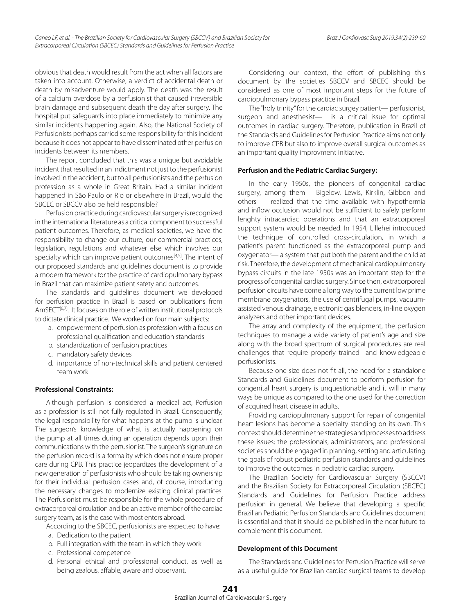obvious that death would result from the act when all factors are taken into account. Otherwise, a verdict of accidental death or death by misadventure would apply. The death was the result of a calcium overdose by a perfusionist that caused irreversible brain damage and subsequent death the day after surgery. The hospital put safeguards into place immediately to minimize any similar incidents happening again. Also, the National Society of Perfusionists perhaps carried some responsibility for this incident because it does not appear to have disseminated other perfusion incidents between its members.

The report concluded that this was a unique but avoidable incident that resulted in an indictment not just to the perfusionist involved in the accident, but to all perfusionists and the perfusion profession as a whole in Great Britain. Had a similar incident happened in São Paulo or Rio or elsewhere in Brazil, would the SBCEC or SBCCV also be held responsible?

Perfusion practice during cardiovascular surgery is recognized in the international literature as a critical component to successful patient outcomes. Therefore, as medical societies, we have the responsibility to change our culture, our commercial practices, legislation, regulations and whatever else which involves our specialty which can improve patient outcomes<sup>[4,5]</sup>. The intent of our proposed standards and guidelines document is to provide a modern framework for the practice of cardiopulmonary bypass in Brazil that can maximize patient safety and outcomes.

The standards and guidelines document we developed for perfusion practice in Brazil is based on publications from AmSECT<sup>[6,7]</sup>. It focuses on the role of written institutional protocols to dictate clinical practice. We worked on four main subjects:

- a. empowerment of perfusion as profession with a focus on professional qualification and education standards
- b. standardization of perfusion practices
- c. mandatory safety devices
- d. importance of non-technical skills and patient centered team work

#### **Professional Constraints:**

Although perfusion is considered a medical act, Perfusion as a profession is still not fully regulated in Brazil. Consequently, the legal responsibility for what happens at the pump is unclear. The surgeon's knowledge of what is actually happening on the pump at all times during an operation depends upon their communications with the perfusionist. The surgeon's signature on the perfusion record is a formality which does not ensure proper care during CPB. This practice jeopardizes the development of a new generation of perfusionists who should be taking ownership for their individual perfusion cases and, of course, introducing the necessary changes to modernize existing clinical practices. The Perfusionist must be responsible for the whole procedure of extracorporeal circulation and be an active member of the cardiac surgery team, as is the case with most enters abroad.

According to the SBCEC, perfusionists are expected to have:

- a. Dedication to the patient
- b. Full integration with the team in which they work
- c. Professional competence
- d. Personal ethical and professional conduct, as well as being zealous, affable, aware and observant.

Considering our context, the effort of publishing this document by the societies SBCCV and SBCEC should be considered as one of most important steps for the future of cardiopulmonary bypass practice in Brazil.

The "holy trinity" for the cardiac surgey patient— perfusionist, surgeon and anesthesist— is a critical issue for optimal outcomes in cardiac surgery. Therefore, publication in Brazil of the Standards and Guidelines for Perfusion Practice aims not only to improve CPB but also to improve overall surgical outcomes as an important quality improvment initiative.

#### **Perfusion and the Pediatric Cardiac Surgery:**

In the early 1950s, the pioneers of congenital cardiac surgery, among them— Bigelow, Lewis, Kirklin, Gibbon and others— realized that the time available with hypothermia and inflow occlusion would not be sufficient to safely perform lenghty intracardiac operations and that an extracorporeal support system would be needed. In 1954, Lillehei introduced the technique of controlled cross-circulation, in which a patient's parent functioned as the extracorporeal pump and oxygenator— a system that put both the parent and the child at risk. Therefore, the development of mechanical cardiopulmonary bypass circuits in the late 1950s was an important step for the progress of congenital cardiac surgery. Since then, extracorporeal perfusion circuits have come a long way to the current low prime membrane oxygenators, the use of centrifugal pumps, vacuumassisted venous drainage, electronic gas blenders, in-line oxygen analyzers and other important devices.

The array and complexity of the equipment, the perfusion techniques to manage a wide variety of patient's age and size along with the broad spectrum of surgical procedures are real challenges that require properly trained and knowledgeable perfusionists.

Because one size does not fit all, the need for a standalone Standards and Guidelines document to perform perfusion for congenital heart surgery is unquestionable and it will in many ways be unique as compared to the one used for the correction of acquired heart disease in adults.

Providing cardiopulmonary support for repair of congenital heart lesions has become a specialty standing on its own. This context should determine the strategies and processes to address these issues; the professionals, administrators, and professional societies should be engaged in planning, setting and articulating the goals of robust pediatric perfusion standards and guidelines to improve the outcomes in pediatric cardiac surgery.

The Brazilian Society for Cardiovascular Surgery (SBCCV) and the Brazilian Society for Extracorporeal Circulation (SBCEC) Standards and Guidelines for Perfusion Practice address perfusion in general. We believe that developing a specific Brazilian Pediatric Perfusion Standards and Guidelines document is essential and that it should be published in the near future to complement this document.

#### **Development of this Document**

The Standards and Guidelines for Perfusion Practice will serve as a useful guide for Brazilian cardiac surgical teams to develop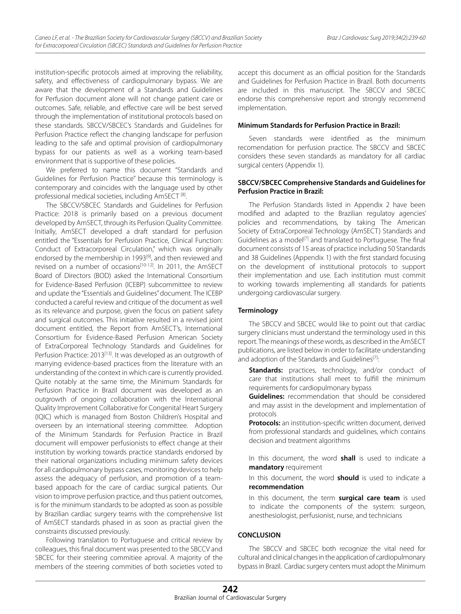institution-specific protocols aimed at improving the reliability, safety, and effectiveness of cardiopulmonary bypass. We are aware that the development of a Standards and Guidelines for Perfusion document alone will not change patient care or outcomes. Safe, reliable, and effective care will be best served through the implementation of institutional protocols based on these standards. SBCCV/SBCEC's Standards and Guidelines for Perfusion Practice reflect the changing landscape for perfusion leading to the safe and optimal provision of cardiopulmonary bypass for our patients as well as a working team-based environment that is supportive of these policies.

We preferred to name this document "Standards and Guidelines for Perfusion Practice" because this terminology is contemporary and coincides with the language used by other professional medical societies, including AmSECT<sup>[8]</sup>.

The SBCCV/SBCEC Standards and Guidelines for Perfusion Practice: 2018 is primarily based on a previous document developed by AmSECT, through its Perfusion Quality Committee. Initially, AmSECT developed a draft standard for perfusion entitled the "Essentials for Perfusion Practice, Clinical Function: Conduct of Extracorporeal Circulation," which was originally endorsed by the membership in 1993<sup>[9]</sup>, and then reviewed and revised on a number of occasions<sup>[10-12]</sup>. In 2011, the AmSECT Board of Directors (BOD) asked the International Consortium for Evidence-Based Perfusion (ICEBP) subcommittee to review and update the "Essentials and Guidelines" document. The ICEBP conducted a careful review and critique of the document as well as its relevance and purpose, given the focus on patient safety and surgical outcomes. This initiative resulted in a revised joint document entitled, the Report from AmSECT's, International Consortium for Evidence-Based Perfusion American Society of ExtraCorporeal Technology Standards and Guidelines for Perfusion Practice: 2013<sup>[13]</sup>. It was developed as an outgrowth of marrying evidence-based practices from the literature with an understanding of the context in which care is currently provided. Quite notably at the same time, the Minimum Standards for Perfusion Practice in Brazil document was developed as an outgrowth of ongoing collaboration with the International Quality Improvement Collaborative for Congenital Heart Surgery (IQIC) which is managed from Boston Children's Hospital and overseen by an international steering committee. Adoption of the Minimum Standards for Perfusion Practice in Brazil document will empower perfusionists to effect change at their institution by working towards practice standards endorsed by their national organizations including minimum safety devices for all cardiopulmonary bypass cases, monitoring devices to help assess the adequacy of perfusion, and promotion of a teambased appoach for the care of cardiac surgical patients. Our vision to improve perfusion practice, and thus patient outcomes, is for the minimum standards to be adopted as soon as possible by Brazilian cardiac surgery teams with the comprehensive list of AmSECT standards phased in as soon as practial given the constraints discussed previously.

Following translation to Portuguese and critical review by colleagues, this final document was presented to the SBCCV and SBCEC for their steering commitiee aproval. A majority of the members of the steering commities of both societies voted to

accept this document as an official position for the Standards and Guidelines for Perfusion Practice in Brazil. Both documents are included in this manuscript. The SBCCV and SBCEC endorse this comprehensive report and strongly recommend implementation.

## **Minimum Standards for Perfusion Practice in Brazil:**

Seven standards were identified as the minimum recomendation for perfusion practice. The SBCCV and SBCEC considers these seven standards as mandatory for all cardiac surgical centers (Appendix 1).

# **SBCCV/SBCEC Comprehensive Standards and Guidelines for Perfusion Practice in Brazil:**

The Perfusion Standards listed in Appendix 2 have been modified and adapted to the Brazilian regulatoy agencies' policies and recommendations, by taking The American Society of ExtraCorporeal Technology (AmSECT) Standards and Guidelines as a model<sup>[7]</sup> and translated to Portuguese. The final document consists of 15 areas of practice including 50 Standards and 38 Guidelines (Appendix 1) with the first standard focusing on the development of institutional protocols to support their implementation and use. Each institution must commit to working towards implementing all standards for patients undergoing cardiovascular surgery.

#### **Terminology**

The SBCCV and SBCEC would like to point out that cardiac surgery clinicians must understand the terminology used in this report. The meanings of these words, as described in the AmSECT publications, are listed below in order to facilitate understanding and adoption of the Standards and Guidelines<sup>[7]</sup>:

**Standards:** practices, technology, and/or conduct of care that institutions shall meet to fulfill the minimum requirements for cardiopulmonary bypass

**Guidelines:** recommendation that should be considered and may assist in the development and implementation of protocols

**Protocols:** an institution-specific written document, derived from professional standards and guidelines, which contains decision and treatment algorithms

In this document, the word **shall** is used to indicate a **mandatory** requirement

In this document, the word **should** is used to indicate a **recommendation**

In this document, the term **surgical care team** is used to indicate the components of the system: surgeon, anesthesiologist, perfusionist, nurse, and technicians

# **CONCLUSION**

The SBCCV and SBCEC both recognize the vital need for cultural and clinical changes in the application of cardiopulmonary bypass in Brazil. Cardiac surgery centers must adopt the Minimum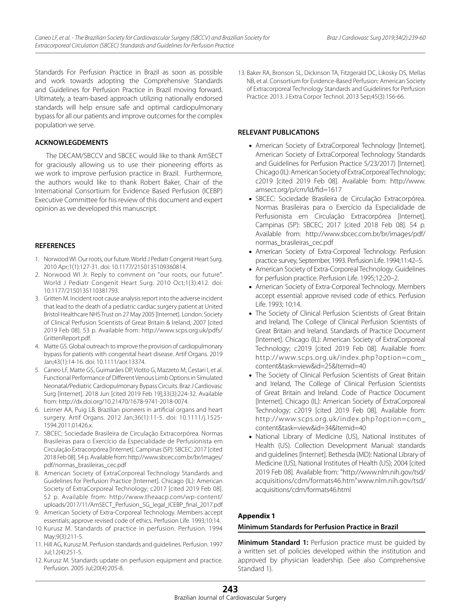Standards For Perfusion Practice in Brazil as soon as possible and work towards adopting the Comprehensive Standards and Guidelines for Perfusion Practice in Brazil moving forward. Ultimately, a team-based approach utilizing nationally endorsed standards will help ensure safe and optimal cardiopulmonary bypass for all our patients and improve outcomes for the complex population we serve.

#### **ACKNOWLEGDEMENTS**

The DECAM/SBCCV and SBCEC would like to thank AmSECT for graciously allowing us to use their pioneering efforts as we work to improve perfusion practice in Brazil. Furthermore, the authors would like to thank Robert Baker, Chair of the International Consortium for Evidence Based Perfusion (ICEBP) Executive Committee for his review of this document and expert opinion as we developed this manuscript.

# **REFERENCES**

- 1. Norwood WI. Our roots, our future. World J Pediatr Congenit Heart Surg. 2010 Apr;1(1):127-31. doi: 10.1177/2150135109360814.
- 2. Norwood WI Jr. Reply to comment on "our roots, our future". World J Pediatr Congenit Heart Surg. 2010 Oct;1(3):412. doi: 10.1177/2150135110381793.
- 3. Gritten M. Incident root cause analysis report into the adverse incident that lead to the death of a pediatric cardiac surgery patient at United Bristol Healthcare NHS Trust on 27 May 2005 [Internet]. London: Society of Clinical Perfusion Scientists of Great Britain & Ireland; 2007 [cited 2019 Feb 08]. 53 p. Available from: http://www.scps.org.uk/pdfs/ GrittenReport.pdf.
- 4. Matte GS. Global outreach to improve the provision of cardiopulmonary bypass for patients with congenital heart disease. Artif Organs. 2019 Jan;43(1):14-16. doi: 10.1111/aor.13374.
- 5. Caneo LF, Matte GS, Guimarães DP, Viotto G, Mazzeto M, Cestari I, et al. Functional Performance of Different Venous Limb Options in Simulated Neonatal/Pediatric Cardiopulmonary Bypass Circuits. Braz J Cardiovasc Surg [Internet]. 2018 Jun [cited 2019 Feb 19];33(3):224-32. Available from: http://dx.doi.org/10.21470/1678-9741-2018-0074.
- 6. Leirner AA, Puig LB. Brazilian pioneers in artificial organs and heart surgery. Artif Organs. 2012 Jan;36(1):11-5. doi: 10.1111/j.1525- 1594.2011.01426.x.
- 7. SBCEC: Sociedade Brasileira de Circulação Extracorpórea. Normas Brasileiras para o Exercício da Especialidade de Perfusionista em Circulação Extracorpórea [Internet]. Campinas (SP): SBCEC; 2017 [cited 2018 Feb 08]. 54 p. Available from: http://www.sbcec.com.br/br/images/ pdf/normas\_brasileiras\_cec.pdf
- 8. American Society of ExtraCorporeal Technology Standards and Guidelines for Perfusion Practice [Internet]. Chicago (IL): American Society of ExtraCorporeal Technology; c2017 [cited 2019 Feb 08]. 52 p. Available from: http://www.theaacp.com/wp-content/ uploads/2017/11/AmSECT\_Perfusion\_SG\_legal\_ICEBP\_final\_2017.pdf
- 9. American Society of Extra-Corporeal Technology. Members accept essentials; approve revised code of ethics. Perfusion Life. 1993;10:14.
- 10. Kurusz M. Standards of practice in perfusion. Perfusion. 1994 May;9(3):211-5.
- 11. Hill AG, Kurusz M. Perfusion standards and guidelines. Perfusion. 1997 Jul;12(4):251-5.
- 12. Kurusz M. Standards update on perfusion equipment and practice. Perfusion. 2005 Jul;20(4):205-8.

13. Baker RA, Bronson SL, Dickinson TA, Fitzgerald DC, Likosky DS, Mellas NB, et al. Consortium for Evidence-Based Perfusion: American Society of Extracorporeal Technology Standards and Guidelines for Perfusion Practice: 2013. J Extra Corpor Technol. 2013 Sep;45(3):156-66.

# **RELEVANT PUBLICATIONS**

- American Society of ExtraCorporeal Technology [Internet]. American Society of ExtraCorporeal Technology Standards and Guidelines for Perfusion Practice 5/23/2017) [Internet]. Chicago (IL): American Society of ExtraCorporeal Technology; c2019 [cited 2019 Feb 08]. Available from: http://www. amsect.org/p/cm/ld/fid=1617
- SBCEC: Sociedade Brasileira de Circulação Extracorpórea. Normas Brasileiras para o Exercício da Especialidade de Perfusionista em Circulação Extracorpórea [Internet]. Campinas (SP): SBCEC; 2017 [cited 2018 Feb 08]. 54 p. Available from: http://www.sbcec.com.br/br/images/pdf/ normas\_brasileiras\_cec.pdf
- American Society of Extra-Corporeal Technology. Perfusion practice survey, September, 1993. Perfusion Life. 1994;11:42–5.
- American Society of Extra-Corporeal Technology. Guidelines for perfusion practice. Perfusion Life. 1995;12:20–2.
- American Society of Extra-Corporeal Technology. Members accept essential: approve revised code of ethics. Perfusion Life. 1993; 10:14.
- The Society of Clinical Perfusion Scientists of Great Britain and Ireland, The College of Clinical Perfusion Scientists of Great Britain and Ireland. Standards of Practice Document [Internet]. Chicago (IL): American Society of ExtraCorporeal Technology; c2019 [cited 2019 Feb 08]. Available from: http://www.scps.org.uk/index.php?option=com\_ content&task=view&id=25&Itemid=40
- The Society of Clinical Perfusion Scientists of Great Britain and Ireland, The College of Clinical Perfusion Scientists of Great Britain and Ireland. Code of Practice Document [Internet]. Chicago (IL): American Society of ExtraCorporeal Technology; c2019 [cited 2019 Feb 08]. Available from: http://www.scps.org.uk/index.php?option=com\_ content&task=view&id=34&Itemid=40
- National Library of Medicine (US), National Institutes of Health (US). Collection Development Manual: standards and guidelines [Internet]. Bethesda (MD): National Library of Medicine (US), National Institutes of Health (US); 2004 [cited 2019 Feb 08]. Available from: "http://www.nlm.nih.gov/tsd/ acquisitions/cdm/formats46.htm"www.nlm.nih.gov/tsd/ acquisitions/cdm/formats46.html

# **Appendix 1**

# **Minimum Standards for Perfusion Practice in Brazil**

**Minimum Standard 1:** Perfusion practice must be guided by a written set of policies developed within the institution and approved by physician leadership. (See also Comprehensive Standard 1).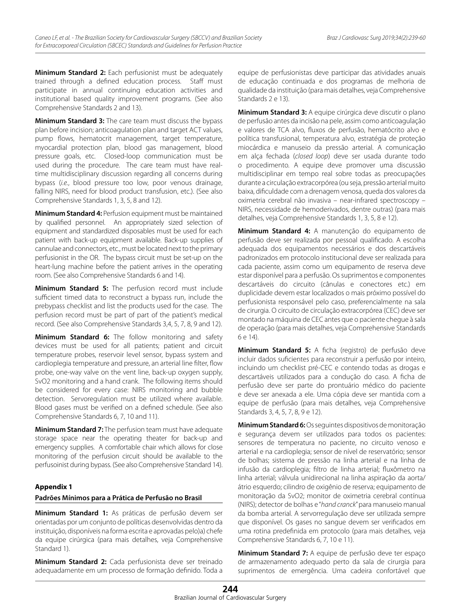**Minimum Standard 2:** Each perfusionist must be adequately trained through a defined education process. Staff must participate in annual continuing education activities and institutional based quality improvement programs. (See also Comprehensive Standards 2 and 13).

**Minimum Standard 3:** The care team must discuss the bypass plan before incision; anticoagulation plan and target ACT values, pump flows, hematocrit management, target temperature, myocardial protection plan, blood gas management, blood pressure goals, etc. Closed-loop communication must be used during the procedure. The care team must have realtime multidisciplinary discussion regarding all concerns during bypass (*i.e.*, blood pressure too low, poor venous drainage, falling NIRS, need for blood product transfusion, etc.). (See also Comprehensive Standards 1, 3, 5, 8 and 12).

**Minimum Standard 4:** Perfusion equipment must be maintained by qualified personnel. An appropriately sized selection of equipment and standardized disposables must be used for each patient with back-up equipment available. Back-up supplies of cannulae and connectors, etc., must be located next to the primary perfusionist in the OR. The bypass circuit must be set-up on the heart-lung machine before the patient arrives in the operating room. (See also Comprehensive Standards 6 and 14).

**Minimum Standard 5:** The perfusion record must include sufficient timed data to reconstruct a bypass run, include the prebypass checklist and list the products used for the case. The perfusion record must be part of part of the patient's medical record. (See also Comprehensive Standards 3,4, 5, 7, 8, 9 and 12).

**Minimum Standard 6:** The follow monitoring and safety devices must be used for all patients; patient and circuit temperature probes, reservoir level sensor, bypass system and cardioplegia temperature and pressure, an arterial line filter, flow probe, one-way valve on the vent line, back-up oxygen supply, SvO2 monitoring and a hand crank. The following items should be considered for every case: NIRS monitoring and bubble detection. Servoregulation must be utilized where available. Blood gases must be verified on a defined schedule. (See also Comprehensive Standards 6, 7, 10 and 11).

**Minimum Standard 7:** The perfusion team must have adequate storage space near the operating theater for back-up and emergency supplies. A comfortable chair which allows for close monitoring of the perfusion circuit should be available to the perfusoinist during bypass. (See also Comprehensive Standard 14).

#### **Appendix 1**

# **Padrões Mínimos para a Prática de Perfusão no Brasil**

**Minimum Standard 1:** As práticas de perfusão devem ser orientadas por um conjunto de políticas desenvolvidas dentro da instituição, disponíveis na forma escrita e aprovadas pelo)a) chefe da equipe cirúrgica (para mais detalhes, veja Comprehensive Standard 1).

**Minimum Standard 2:** Cada perfusionista deve ser treinado adequadamente em um processo de formação definido. Toda a equipe de perfusionistas deve participar das atividades anuais de educação continuada e dos programas de melhoria de qualidade da instituição (para mais detalhes, veja Comprehensive Standards 2 e 13).

**Minimum Standard 3:** A equipe cirúrgica deve discutir o plano de perfusão antes da incisão na pele, assim como anticoagulação e valores de TCA alvo, fluxos de perfusão, hematócrito alvo e política transfusional, temperatura alvo, estratégia de proteção miocárdica e manuseio da pressão arterial. A comunicação em alça fechada (*closed loop*) deve ser usada durante todo o procedimento. A equipe deve promover uma discussão multidisciplinar em tempo real sobre todas as preocupações durante a circulação extracorpórea (ou seja, pressão arterial muito baixa, dificuldade com a drenagem venosa, queda dos valores da oximetria cerebral não invasiva – near-infrared spectroscopy – NIRS, necessidade de hemoderivados, dentre outras) (para mais detalhes, veja Comprehensive Standards 1, 3, 5, 8 e 12).

**Minimum Standard 4:** A manutenção do equipamento de perfusão deve ser realizada por pessoal qualificado. A escolha adequada dos equipamentos necessários e dos descartáveis padronizados em protocolo institucional deve ser realizada para cada paciente, assim como um equipamento de reserva deve estar disponível para a perfusão. Os suprimentos e componentes descartáveis do circuito (cânulas e conectores etc.) em duplicidade devem estar localizados o mais próximo possível do perfusionista responsável pelo caso, preferencialmente na sala de cirurgia. O circuito de circulação extracorpórea (CEC) deve ser montado na máquina de CEC antes que o paciente chegue à sala de operação (para mais detalhes, veja Comprehensive Standards 6 e 14).

**Minimum Standard 5:** A ficha (registro) de perfusão deve incluir dados suficientes para reconstruir a perfusão por inteiro, incluindo um checklist pré-CEC e contendo todas as drogas e descartáveis utilizados para a condução do caso. A ficha de perfusão deve ser parte do prontuário médico do paciente e deve ser anexada a ele. Uma cópia deve ser mantida com a equipe de perfusão (para mais detalhes, veja Comprehensive Standards 3, 4, 5, 7, 8, 9 e 12).

**Minimum Standard 6:** Os seguintes dispositivos de monitoração e segurança devem ser utilizados para todos os pacientes: sensores de temperatura no paciente, no circuito venoso e arterial e na cardioplegia; sensor de nível de reservatório; sensor de bolhas; sistema de pressão na linha arterial e na linha de infusão da cardioplegia; filtro de linha arterial; fluxômetro na linha arterial; válvula unidirecional na linha aspiração da aorta/ átrio esquerdo; cilindro de oxigênio de reserva; equipamento de monitoração da SvO2; monitor de oximetria cerebral contínua (NIRS); detector de bolhas e "*hand cranck*" para manuseio manual da bomba arterial. A servorregulação deve ser utilizada sempre que disponível. Os gases no sangue devem ser verificados em uma rotina predefinida em protocolo (para mais detalhes, veja Comprehensive Standards 6, 7, 10 e 11).

**Minimum Standard 7:** A equipe de perfusão deve ter espaço de armazenamento adequado perto da sala de cirurgia para suprimentos de emergência. Uma cadeira confortável que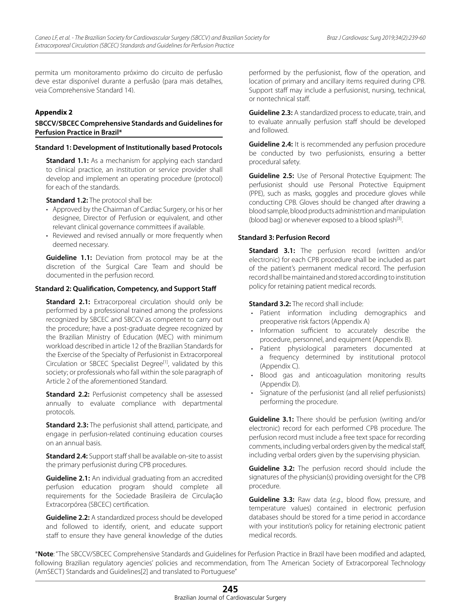permita um monitoramento próximo do circuito de perfusão deve estar disponível durante a perfusão (para mais detalhes, veja Comprehensive Standard 14).

## **Appendix 2**

#### **SBCCV/SBCEC Comprehensive Standards and Guidelines for Perfusion Practice in Brazil\***

#### **Standard 1: Development of Institutionally based Protocols**

**Standard 1.1:** As a mechanism for applying each standard to clinical practice, an institution or service provider shall develop and implement an operating procedure (protocol) for each of the standards.

**Standard 1.2:** The protocol shall be:

- Approved by the Chairman of Cardiac Surgery, or his or her designee, Director of Perfusion or equivalent, and other relevant clinical governance committees if available.
- Reviewed and revised annually or more frequently when deemed necessary.

**Guideline 1.1:** Deviation from protocol may be at the discretion of the Surgical Care Team and should be documented in the perfusion record.

#### **Standard 2: Qualification, Competency, and Support Staff**

**Standard 2.1:** Extracorporeal circulation should only be performed by a professional trained among the professions recognized by SBCEC and SBCCV as competent to carry out the procedure; have a post-graduate degree recognized by the Brazilian Ministry of Education (MEC) with minimum workload described in article 12 of the Brazilian Standards for the Exercise of the Specialty of Perfusionist in Extracorporeal Circulation or SBCEC Specialist Degree<sup>[1]</sup>, validated by this society; or professionals who fall within the sole paragraph of Article 2 of the aforementioned Standard.

**Standard 2.2:** Perfusionist competency shall be assessed annually to evaluate compliance with departmental protocols.

**Standard 2.3:** The perfusionist shall attend, participate, and engage in perfusion-related continuing education courses on an annual basis.

**Standard 2.4:** Support staff shall be available on-site to assist the primary perfusionist during CPB procedures.

**Guideline 2.1:** An individual graduating from an accredited perfusion education program should complete all requirements for the Sociedade Brasileira de Circulação Extracorpórea (SBCEC) certification.

**Guideline 2.2:** A standardized process should be developed and followed to identify, orient, and educate support staff to ensure they have general knowledge of the duties performed by the perfusionist, flow of the operation, and location of primary and ancillary items required during CPB. Support staff may include a perfusionist, nursing, technical, or nontechnical staff.

**Guideline 2.3:** A standardized process to educate, train, and to evaluate annually perfusion staff should be developed and followed.

**Guideline 2.4:** It is recommended any perfusion procedure be conducted by two perfusionists, ensuring a better procedural safety.

**Guideline 2.5:** Use of Personal Protective Equipment: The perfusionist should use Personal Protective Equipment (PPE), such as masks, goggles and procedure gloves while conducting CPB. Gloves should be changed after drawing a blood sample, blood products administrtion and manipulation (blood bag) or whenever exposed to a blood splash $[3]$ .

#### **Standard 3: Perfusion Record**

**Standard 3.1:** The perfusion record (written and/or electronic) for each CPB procedure shall be included as part of the patient's permanent medical record. The perfusion record shall be maintained and stored according to institution policy for retaining patient medical records.

**Standard 3.2:** The record shall include:

- • Patient information including demographics and preoperative risk factors (Appendix A)
- • Information sufficient to accurately describe the procedure, personnel, and equipment (Appendix B).
- • Patient physiological parameters documented at a frequency determined by institutional protocol (Appendix C).
- Blood gas and anticoagulation monitoring results (Appendix D).
- Signature of the perfusionist (and all relief perfusionists) performing the procedure.

**Guideline 3.1:** There should be perfusion (writing and/or electronic) record for each performed CPB procedure. The perfusion record must include a free text space for recording comments, including verbal orders given by the medical staff, including verbal orders given by the supervising physician.

**Guideline 3.2:** The perfusion record should include the signatures of the physician(s) providing oversight for the CPB procedure.

**Guideline 3.3:** Raw data (*e.g*., blood flow, pressure, and temperature values) contained in electronic perfusion databases should be stored for a time period in accordance with your institution's policy for retaining electronic patient medical records.

\***Note**: "The SBCCV/SBCEC Comprehensive Standards and Guidelines for Perfusion Practice in Brazil have been modified and adapted, following Brazilian regulatory agencies' policies and recommendation, from The American Society of Extracorporeal Technology (AmSECT) Standards and Guidelines[2] and translated to Portuguese"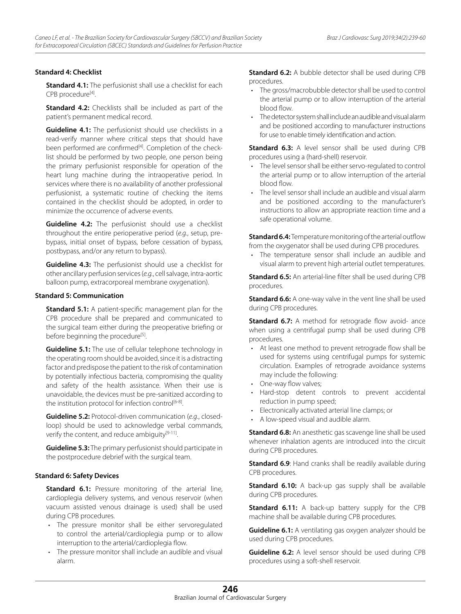## **Standard 4: Checklist**

**Standard 4.1:** The perfusionist shall use a checklist for each CPB procedure<sup>[4]</sup>.

**Standard 4.2:** Checklists shall be included as part of the patient's permanent medical record.

**Guideline 4.1:** The perfusionist should use checklists in a read-verify manner where critical steps that should have been performed are confirmed<sup>[4]</sup>. Completion of the checklist should be performed by two people, one person being the primary perfusionist responsible for operation of the heart lung machine during the intraoperative period. In services where there is no availability of another professional perfusionist, a systematic routine of checking the items contained in the checklist should be adopted, in order to minimize the occurrence of adverse events.

**Guideline 4.2:** The perfusionist should use a checklist throughout the entire perioperative period (*e.g.*, setup, prebypass, initial onset of bypass, before cessation of bypass, postbypass, and/or any return to bypass).

**Guideline 4.3:** The perfusionist should use a checklist for other ancillary perfusion services (*e.g.*, cell salvage, intra-aortic balloon pump, extracorporeal membrane oxygenation).

# **Standard 5: Communication**

**Standard 5.1:** A patient-specific management plan for the CPB procedure shall be prepared and communicated to the surgical team either during the preoperative briefing or before beginning the procedure<sup>[5]</sup>.

**Guideline 5.1:** The use of cellular telephone technology in the operating room should be avoided, since it is a distracting factor and predispose the patient to the risk of contamination by potentially infectious bacteria, compromising the quality and safety of the health assistance. When their use is unavoidable, the devices must be pre-sanitized according to the institution protocol for infection control $[6-8]$ .

**Guideline 5.2:** Protocol-driven communication (*e.g*., closedloop) should be used to acknowledge verbal commands, verify the content, and reduce ambiguity<sup>[9-11]</sup>.

**Guideline 5.3:** The primary perfusionist should participate in the postprocedure debrief with the surgical team.

#### **Standard 6: Safety Devices**

**Standard 6.1:** Pressure monitoring of the arterial line, cardioplegia delivery systems, and venous reservoir (when vacuum assisted venous drainage is used) shall be used during CPB procedures.

- • The pressure monitor shall be either servoregulated to control the arterial/cardioplegia pump or to allow interruption to the arterial/cardioplegia flow.
- The pressure monitor shall include an audible and visual alarm.

**Standard 6.2:** A bubble detector shall be used during CPB procedures.

- The gross/macrobubble detector shall be used to control the arterial pump or to allow interruption of the arterial blood flow.
- The detector system shall include an audible and visual alarm and be positioned according to manufacturer instructions for use to enable timely identification and action.

**Standard 6.3:** A level sensor shall be used during CPB procedures using a (hard-shell) reservoir.

- The level sensor shall be either servo-regulated to control the arterial pump or to allow interruption of the arterial blood flow.
- The level sensor shall include an audible and visual alarm and be positioned according to the manufacturer's instructions to allow an appropriate reaction time and a safe operational volume.

**Standard 6.4:** Temperature monitoring of the arterial outflow from the oxygenator shall be used during CPB procedures.

• The temperature sensor shall include an audible and visual alarm to prevent high arterial outlet temperatures.

**Standard 6.5:** An arterial-line filter shall be used during CPB procedures.

**Standard 6.6:** A one-way valve in the vent line shall be used during CPB procedures.

**Standard 6.7:** A method for retrograde flow avoid- ance when using a centrifugal pump shall be used during CPB procedures.

- • At least one method to prevent retrograde flow shall be used for systems using centrifugal pumps for systemic circulation. Examples of retrograde avoidance systems may include the following:
- One-way flow valves;
- Hard-stop detent controls to prevent accidental reduction in pump speed;
- • Electronically activated arterial line clamps; or
- • A low-speed visual and audible alarm.

**Standard 6.8:** An anesthetic gas scavenge line shall be used whenever inhalation agents are introduced into the circuit during CPB procedures.

**Standard 6.9:** Hand cranks shall be readily available during CPB procedures.

**Standard 6.10:** A back-up gas supply shall be available during CPB procedures.

**Standard 6.11:** A back-up battery supply for the CPB machine shall be available during CPB procedures.

**Guideline 6.1:** A ventilating gas oxygen analyzer should be used during CPB procedures.

**Guideline 6.2:** A level sensor should be used during CPB procedures using a soft-shell reservoir.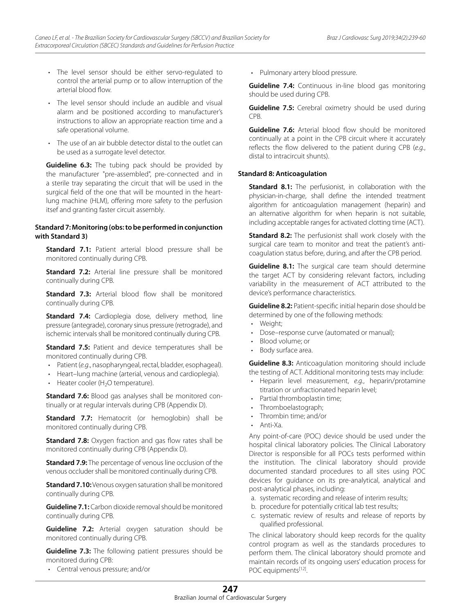- The level sensor should be either servo-regulated to control the arterial pump or to allow interruption of the arterial blood flow.
- The level sensor should include an audible and visual alarm and be positioned according to manufacturer's instructions to allow an appropriate reaction time and a safe operational volume.
- The use of an air bubble detector distal to the outlet can be used as a surrogate level detector.

**Guideline 6.3:** The tubing pack should be provided by the manufacturer "pre-assembled", pre-connected and in a sterile tray separating the circuit that will be used in the surgical field of the one that will be mounted in the heartlung machine (HLM), offering more safety to the perfusion itsef and granting faster circuit assembly.

# **Standard 7: Monitoring (obs: to be performed in conjunction with Standard 3)**

**Standard 7.1:** Patient arterial blood pressure shall be monitored continually during CPB.

**Standard 7.2:** Arterial line pressure shall be monitored continually during CPB.

**Standard 7.3:** Arterial blood flow shall be monitored continually during CPB.

**Standard 7.4:** Cardioplegia dose, delivery method, line pressure (antegrade), coronary sinus pressure (retrograde), and ischemic intervals shall be monitored continually during CPB.

**Standard 7.5:** Patient and device temperatures shall be monitored continually during CPB.

- • Patient (*e.g*., nasopharyngeal, rectal, bladder, esophageal).
- Heart–lung machine (arterial, venous and cardioplegia).
- $\cdot$  Heater cooler (H<sub>2</sub>O temperature).

**Standard 7.6:** Blood gas analyses shall be monitored continually or at regular intervals during CPB (Appendix D).

**Standard 7.7:** Hematocrit (or hemoglobin) shall be monitored continually during CPB.

**Standard 7.8:** Oxygen fraction and gas flow rates shall be monitored continually during CPB (Appendix D).

**Standard 7.9:** The percentage of venous line occlusion of the venous occluder shall be monitored continually during CPB.

**Standard 7.10:** Venous oxygen saturation shall be monitored continually during CPB.

**Guideline 7.1:** Carbon dioxide removal should be monitored continually during CPB.

**Guideline 7.2:** Arterial oxygen saturation should be monitored continually during CPB.

**Guideline 7.3:** The following patient pressures should be monitored during CPB:

• Central venous pressure; and/or

Pulmonary artery blood pressure.

**Guideline 7.4:** Continuous in-line blood gas monitoring should be used during CPB.

**Guideline 7.5:** Cerebral oximetry should be used during CPB.

**Guideline 7.6:** Arterial blood flow should be monitored continually at a point in the CPB circuit where it accurately reflects the flow delivered to the patient during CPB (*e.g.*, distal to intracircuit shunts).

#### **Standard 8: Anticoagulation**

**Standard 8.1:** The perfusionist, in collaboration with the physician-in-charge, shall define the intended treatment algorithm for anticoagulation management (heparin) and an alternative algorithm for when heparin is not suitable, including acceptable ranges for activated clotting time (ACT).

**Standard 8.2:** The perfusionist shall work closely with the surgical care team to monitor and treat the patient's anticoagulation status before, during, and after the CPB period.

**Guideline 8.1:** The surgical care team should determine the target ACT by considering relevant factors, including variability in the measurement of ACT attributed to the device's performance characteristics.

**Guideline 8.2:** Patient-specific initial heparin dose should be determined by one of the following methods:

- • Weight;
- Dose-response curve (automated or manual);
- Blood volume; or
- Body surface area.

**Guideline 8.3:** Anticoagulation monitoring should include the testing of ACT. Additional monitoring tests may include:

- • Heparin level measurement, *e.g.*, heparin/protamine titration or unfractionated heparin level;
- Partial thromboplastin time;
- Thromboelastograph;
- Thrombin time: and/or
- Anti-Xa

Any point-of-care (POC) device should be used under the hospital clinical laboratory policies. The Clinical Laboratory Director is responsible for all POCs tests performed within the institution. The clinical laboratory should provide documented standard procedures to all sites using POC devices for guidance on its pre-analytical, analytical and post-analytical phases, including:

- a. systematic recording and release of interim results;
- b. procedure for potentially critical lab test results;
- c. systematic review of results and release of reports by qualified professional.

The clinical laboratory should keep records for the quality control program as well as the standards procedures to perform them. The clinical laboratory should promote and maintain records of its ongoing users' education process for POC equipments<sup>[12]</sup>.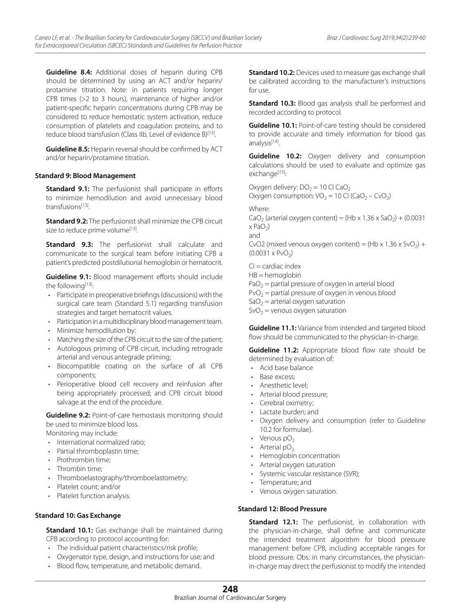**Guideline 8.4:** Additional doses of heparin during CPB should be determined by using an ACT and/or heparin/ protamine titration. Note: in patients requiring longer CPB times (>2 to 3 hours), maintenance of higher and/or patient-specific heparin concentrations during CPB may be considered to reduce hemostatic system activation, reduce consumption of platelets and coagulation proteins, and to reduce blood transfusion (Class IIb, Level of evidence B)<sup>[13]</sup>.

**Guideline 8.5:** Heparin reversal should be confirmed by ACT and/or heparin/protamine titration.

# **Standard 9: Blood Management**

**Standard 9.1:** The perfusionist shall participate in efforts to minimize hemodilution and avoid unnecessary blood transfusions[13].

**Standard 9.2:** The perfusionist shall minimize the CPB circuit size to reduce prime volume<sup>[13]</sup>.

**Standard 9.3:** The perfusionist shall calculate and communicate to the surgical team before initiating CPB a patient's predicted postdilutional hemoglobin or hematocrit.

**Guideline 9.1:** Blood management efforts should include the following<sup>[13]</sup>:

- • Participate in preoperative briefings (discussions) with the surgical care team (Standard 5.1) regarding transfusion strategies and target hematocrit values.
- Participation in a multidisciplinary blood management team.
- Minimize hemodilution by:
- Matching the size of the CPB circuit to the size of the patient;
- • Autologous priming of CPB circuit, including retrograde arterial and venous antegrade priming;
- • Biocompatible coating on the surface of all CPB components;
- Perioperative blood cell recovery and reinfusion after being appropriately processed; and CPB circuit blood salvage at the end of the procedure.

**Guideline 9.2:** Point-of-care hemostasis monitoring should be used to minimize blood loss.

Monitoring may include:

- International normalized ratio:
- Partial thromboplastin time;
- Prothrombin time:
- Thrombin time:
- Thromboelastography/thromboelastometry;
- • Platelet count; and/or
- Platelet function analysis.

# **Standard 10: Gas Exchange**

**Standard 10.1:** Gas exchange shall be maintained during CPB according to protocol accounting for:

- The individual patient characteristics/risk profile;
- • Oxygenator type, design, and instructions for use; and
- • Blood flow, temperature, and metabolic demand.

**Standard 10.2:** Devices used to measure gas exchange shall be calibrated according to the manufacturer's instructions for use.

**Standard 10.3:** Blood gas analysis shall be performed and recorded according to protocol.

**Guideline 10.1:** Point-of-care testing should be considered to provide accurate and timely information for blood gas analysis<sup>[14]</sup>.

**Guideline 10.2:** Oxygen delivery and consumption calculations should be used to evaluate and optimize gas exchange<sup>[15]</sup>:

Oxygen delivery:  $DO<sub>2</sub> = 10$  CI CaO<sub>2</sub> Oxygen consumption:  $VO_2 = 10$  CI (CaO<sub>2</sub> – CvO<sub>2</sub>)

Where:

CaO<sub>2</sub> (arterial oxygen content) = (Hb x 1.36 x SaO<sub>2</sub>) + (0.0031  $x$  PaO<sub>2</sub>)

and

CvO2 (mixed venous oxygen content) = (Hb x 1.36 x SvO<sub>2</sub>) +  $(0.0031 \times \text{PvO}_2)$ 

 $Cl =$  cardiac index HB = hemoglobin  $PaO<sub>2</sub>$  = partial pressure of oxygen in arterial blood  $PvO<sub>2</sub>$  = partial pressure of oxygen in venous blood  $SaO<sub>2</sub> =$  arterial oxygen saturation

 $SvO<sub>2</sub>$  = venous oxygen saturation

**Guideline 11.1:** Variance from intended and targeted blood flow should be communicated to the physician-in-charge.

**Guideline 11.2:** Appropriate blood flow rate should be determined by evaluation of:

- • Acid base balance
- Base excess:
- Anesthetic level:
- • Arterial blood pressure;
- Cerebral oximetry;
- • Lactate burden; and
- • Oxygen delivery and consumption (refer to Guideline 10.2 for formulae).
- $\cdot$  Venous pO<sub>2</sub>
- Arterial  $pO<sub>2</sub>$
- Hemoglobin concentration
- Arterial oxygen saturation
- Systemic vascular resistance (SVR);
- • Temperature; and
- • Venous oxygen saturation.

# **Standard 12: Blood Pressure**

**Standard 12.1:** The perfusionist, in collaboration with the physician-in-charge, shall define and communicate the intended treatment algorithm for blood pressure management before CPB, including acceptable ranges for blood pressure. Obs: in many circumstances, the physicianin-charge may direct the perfusionist to modify the intended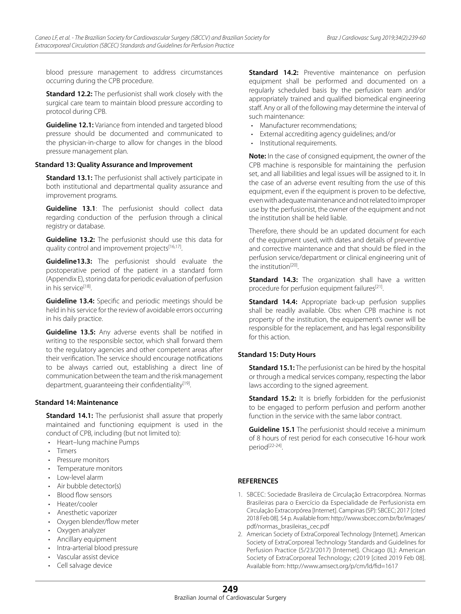blood pressure management to address circumstances occurring during the CPB procedure.

**Standard 12.2:** The perfusionist shall work closely with the surgical care team to maintain blood pressure according to protocol during CPB.

**Guideline 12.1:** Variance from intended and targeted blood pressure should be documented and communicated to the physician-in-charge to allow for changes in the blood pressure management plan.

#### **Standard 13: Quality Assurance and Improvement**

**Standard 13.1:** The perfusionist shall actively participate in both institutional and departmental quality assurance and improvement programs.

**Guideline 13.1**: The perfusionist should collect data regarding conduction of the perfusion through a clinical registry or database.

**Guideline 13.2:** The perfusionist should use this data for quality control and improvement projects<sup>[16,17]</sup>.

**Guideline13.3:** The perfusionist should evaluate the postoperative period of the patient in a standard form (Appendix E), storing data for periodic evaluation of perfusion in his service<sup>[18]</sup>.

**Guideline 13.4:** Specific and periodic meetings should be held in his service for the review of avoidable errors occurring in his daily practice.

**Guideline 13.5:** Any adverse events shall be notified in writing to the responsible sector, which shall forward them to the regulatory agencies and other competent areas after their verification. The service should encourage notifications to be always carried out, establishing a direct line of communication between the team and the risk management department, quaranteeing their confidentiality $[19]$ .

#### **Standard 14: Maintenance**

**Standard 14.1:** The perfusionist shall assure that properly maintained and functioning equipment is used in the conduct of CPB, including (but not limited to):

- • Heart–lung machine Pumps
- • Timers
- • Pressure monitors
- • Temperature monitors
- Low-level alarm
- Air bubble detector(s)
- Blood flow sensors
- Heater/cooler
- • Anesthetic vaporizer
- Oxygen blender/flow meter
- Oxygen analyzer
- • Ancillary equipment
- Intra-arterial blood pressure
- Vascular assist device
- Cell salvage device

**Standard 14.2:** Preventive maintenance on perfusion equipment shall be performed and documented on a regularly scheduled basis by the perfusion team and/or appropriately trained and qualified biomedical engineering staff. Any or all of the following may determine the interval of such maintenance:

- Manufacturer recommendations;
- External accrediting agency guidelines; and/or
- Institutional requirements.

**Note:** In the case of consigned equipment, the owner of the CPB machine is responsible for maintaining the perfusion set, and all liabilities and legal issues will be assigned to it. In the case of an adverse event resulting from the use of this equipment, even if the equipment is proven to be defective, even with adequate maintenance and not related to improper use by the perfusionist, the owner of the equipment and not the institution shall be held liable.

Therefore, there should be an updated document for each of the equipment used, with dates and details of preventive and corrective maintenance and that should be filed in the perfusion service/department or clinical engineering unit of the institution<sup>[20]</sup>.

**Standard 14.3:** The organization shall have a written procedure for perfusion equipment failures<sup>[21]</sup>.

**Standard 14.4:** Appropriate back-up perfusion supplies shall be readily available. Obs: when CPB machine is not property of the institution, the equipement's owner will be responsible for the replacement, and has legal responsibility for this action.

#### **Standard 15: Duty Hours**

**Standard 15.1:** The perfusionist can be hired by the hospital or through a medical services company, respecting the labor laws according to the signed agreement.

**Standard 15.2:** It is briefly forbidden for the perfusionist to be engaged to perform perfusion and perform another function in the service with the same labor contract.

**Guideline 15.1** The perfusionist should receive a minimum of 8 hours of rest period for each consecutive 16-hour work period[22-24].

# **REFERENCES**

- 1. SBCEC: Sociedade Brasileira de Circulação Extracorpórea. Normas Brasileiras para o Exercício da Especialidade de Perfusionista em Circulação Extracorpórea [Internet]. Campinas (SP): SBCEC; 2017 [cited 2018 Feb 08]. 54 p. Available from: http://www.sbcec.com.br/br/images/ pdf/normas\_brasileiras\_cec.pdf
- 2. American Society of ExtraCorporeal Technology [Internet]. American Society of ExtraCorporeal Technology Standards and Guidelines for Perfusion Practice (5/23/2017) [Internet]. Chicago (IL): American Society of ExtraCorporeal Technology; c2019 [cited 2019 Feb 08]. Available from: http://www.amsect.org/p/cm/ld/fid=1617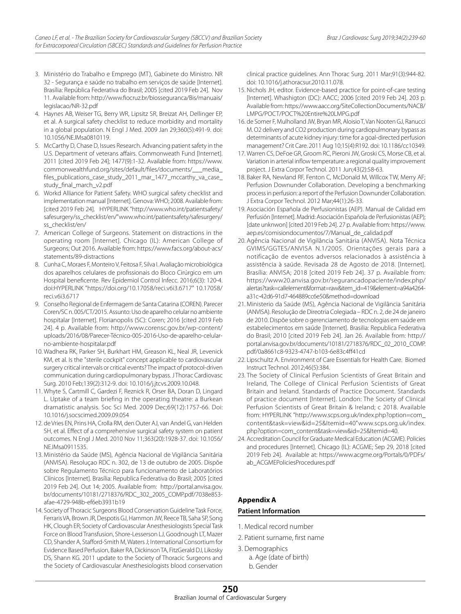- 3. Ministério do Trabalho e Emprego (MT), Gabinete do Ministro. NR 32 - Segurança e saúde no trabalho em serviços de saúde [Internet]. Brasília: República Federativa do Brasil; 2005 [cited 2019 Feb 24]. Nov 11. Available from: http://www.fiocruz.br/biosseguranca/Bis/manuais/ legislacao/NR-32.pdf
- 4. Haynes AB, Weiser TG, Berry WR, Lipsitz SR, Breizat AH, Dellinger EP, et al. A surgical safety checklist to reduce morbidity and mortality in a global population. N Engl J Med. 2009 Jan 29;360(5):491-9. doi: 10.1056/NEJMsa0810119.
- 5. McCarthy D, Chase D, Issues Research. Advancing patient safety in the U.S. Department of veterans affairs. Commonweath Fund [Internet]. 2011 [cited 2019 Feb 24]; 1477(9):1-32. Available from: https://www. commonwealthfund.org/sites/default/files/documents/\_\_\_media\_ files\_publications\_case\_study\_2011\_mar\_1477\_mccarthy\_va\_case\_ study\_final\_march\_v2.pdf
- 6. Workd Alliance for Patient Safety. WHO surgical safety checklist and implementation manual [Internet]. Genova: WHO; 2008. Available from: [cited 2019 Feb 24]. HYPERLINK "http://www.who.int/patientsafety/ safesurgery/ss\_checklist/en/"www.who.int/patientsafety/safesurgery/ ss\_checklist/en/
- 7. American College of Surgeons. Statement on distractions in the operating room [Internet]. Chicago (IL): American College of Surgeons; Out 2016. Available from: https://www.facs.org/about-acs/ statements/89-distractions
- 8. Cunha C, Moraes F, Monteiro V, Feitosa F, Silva I. Avaliação microbiológica dos aparelhos celulares de profissionais do Bloco Cirúrgico em um Hospital beneficente. Rev Epidemiol Control Infecc. 2016;6(3): 120-4. doi:HYPERLINK "https://doi.org/10.17058/reci.v6i3.6717" 10.17058/ reci.v6i3.6717
- 9. Conselho Regional de Enfermagem de Santa Catarina (COREN). Parecer Coren/SC n. 005/CT/2015. Assunto: Uso de aparelho celular no ambiente hospitalar [Internet]. Florianopolis (SC): Coren; 2016 [cited 2019 Feb 24]. 4 p. Available from: http://www.corensc.gov.br/wp-content/ uploads/2016/08/Parecer-Técnico-005-2016-Uso-de-aparelho-celularno-ambiente-hospitalar.pdf
- 10. Wadhera RK, Parker SH, Burkhart HM, Greason KL, Neal JR, Levenick KM, et al. Is the "sterile cockpit" concept applicable to cardiovascular surgery critical intervals or critical events? The impact of protocol-driven communication during cardiopulmonary bypass. J Thorac Cardiovasc Surg. 2010 Feb;139(2):312-9. doi: 10.1016/j.jtcvs.2009.10.048.
- 11. Whyte S, Cartmill C, Gardezi F, Reznick R, Orser BA, Doran D, Lingard L. Uptake of a team briefing in the operating theatre: a Burkean dramatistic analysis. Soc Sci Med. 2009 Dec;69(12):1757-66. Doi: 10.1016/j.socscimed.2009.09.054
- 12. de Vries EN, Prins HA, Crolla RM, den Outer AJ, van Andel G, van Helden SH, et al. Effect of a comprehensive surgical safety system on patient outcomes. N Engl J Med. 2010 Nov 11;363(20):1928-37. doi: 10.1056/ NEJMsa0911535.
- 13. Ministério da Saúde (MS), Agência Nacional de Vigilância Sanitária (ANVISA). Resoluçao RDC n. 302, de 13 de outubro de 2005. Dispõe sobre Regulamento Técnico para funcionamento de Laboratórios Clínicos [Internet]. Brasília: Republica Federativa do Brasil; 2005 [cited 2019 Feb 24]. Out 14; 2005. Available from: http://portal.anvisa.gov. br/documents/10181/2718376/RDC\_302\_2005\_COMP.pdf/7038e853 afae-4729-948b-ef6eb3931b19
- 14. Society of Thoracic Surgeons Blood Conservation Guideline Task Force, Ferraris VA, Brown JR, Despotis GJ, Hammon JW, Reece TB, Saha SP, Song HK, Clough ER; Society of Cardiovascular Anesthesiologists Special Task Force on Blood Transfusion, Shore-Lesserson LJ, Goodnough LT, Mazer CD, Shander A, Stafford-Smith M, Waters J; International Consortium for Evidence Based Perfusion, Baker RA, Dickinson TA, FitzGerald DJ, Likosky DS, Shann KG. 2011 update to the Society of Thoracic Surgeons and the Society of Cardiovascular Anesthesiologists blood conservation

clinical practice guidelines. Ann Thorac Surg. 2011 Mar;91(3):944-82. doi: 10.1016/j.athoracsur.2010.11.078.

- 15. Nichols JH, editor. Evidence-based practice for point-of-care testing [Internet]. Whashigton (DC): AACC; 2006 [cited 2019 Feb 24]. 203 p. Available from: https://www.aacc.org/SiteCollectionDocuments/NACB/ LMPG/POCT/POCT%20Entire%20LMPG.pdf
- 16. de Somer F, Mulholland JW, Bryan MR, Aloisio T, Van Nooten GJ, Ranucci M. O2 delivery and CO2 production during cardiopulmonary bypass as determinants of acute kidney injury: time for a goal-directed perfusion management? Crit Care. 2011 Aug 10;15(4):R192. doi: 10.1186/cc10349.
- 17. Warren CS, DeFoe GR, Groom RC, Pieroni JW, Groski CS, Morse CB, et al. Variation in arterial inflow temperature: a regional quality improvement project. J Extra Corpor Technol. 2011 Jun;43(2):58-63.
- 18. Baker RA, Newland RF, Fenton C, McDonald M, Willcox TW, Merry AF; Perfusion Downunder Collaboration. Developing a benchmarking process in perfusion: a report of the Perfusion Downunder Collaboration. J Extra Corpor Technol. 2012 Mar;44(1):26-33.
- 19. Asociación Española de Perfusionistas (AEP). Manual de Calidad em Perfusión [Internet]. Madrid: Asociación Española de Perfusionistas (AEP); [date unknwon] [cited 2019 Feb 24]. 27 p. Available from: https://www. aep.es/comisiondocumentos/7/Manual\_de\_calidad.pdf
- 20. Agência Nacional de Vigilância Sanitária (ANVISA). Nota Técnica GVIMS/GGTES/ANVISA N.1/2005. Orientações gerais para a notificação de eventos adversos relacionados à assistência à assistência à saúde. Revisada 28 de Agosto de 2018. [Internet]. Brasília: ANVISA; 2018 [cited 2019 Feb 24]. 37 p. Available from: https://www20.anvisa.gov.br/segurancadopaciente/index.php/ alertas?task=callelement&format=raw&item\_id=419&element=a94a4264 a31c-42d6-91d7-464889cc6e50&method=download
- 21. Ministerio da Saúde (MS), Agência Nacional de Vigilância Sanitária (ANVISA). Resolução de Direotria Colegiada – RDC n. 2, de 24 de janeiro de 2010. Dispõe sobre o gerenciamento de tecnologias em saúde em estabelecimentos em saúde [Internet]. Brasilia: Republica Federativa do Brasil; 2010 [cited 2019 Feb 24]. Jan 26. Available from: http:// portal.anvisa.gov.br/documents/10181/2718376/RDC\_02\_2010\_COMP. pdf/0a8661c8-9323-4747-b103-6e83c4ff41cd
- 22. Lipschultz A. Environment of Care Essentials for Health Care. Biomed Instruct Technol. 2012;46(5):384.
- 23. The Society of Clinical Perfusion Scientists of Great Britain and Ireland, The College of Clinical Perfusion Scientists of Great Britain and Ireland. Standards of Practice Document. Standards of practice document [Internet]. London: The Society of Clinical Perfusion Scientists of Great Britain & Ireland; c 2018. Available from: HYPERLINK "http://www.scps.org.uk/index.php?option=com\_ content&task=view&id=25&Itemid=40"www.scps.org.uk/index. php?option=com\_content&task=view&id=25&Itemid=40.
- 24. Accreditation Council for Graduate Medical Education (ACGME). Policies and procedures [Internet]. Chicago (IL): ACGME; Sep 29, 2018 [cited 2019 Feb 24]. Available at: https://www.acgme.org/Portals/0/PDFs/ ab\_ACGMEPoliciesProcedures.pdf

# **Appendix A**

#### **Patient Information**

- 1. Medical record number
- 2. Patient surname, first name
- 3. Demographics a. Age (date of birth) b. Gender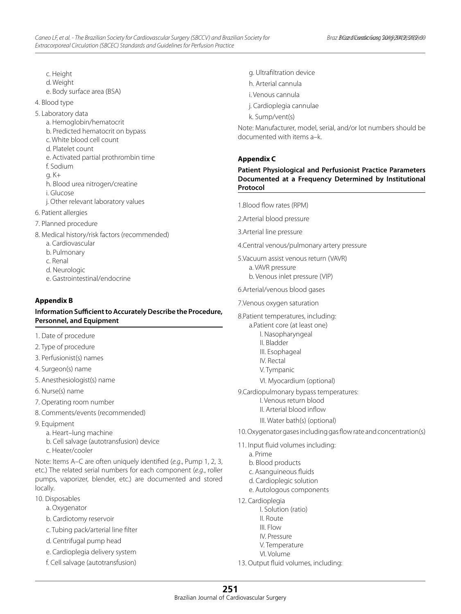c. Height

- d. Weight
- e. Body surface area (BSA)
- 4. Blood type
- 5. Laboratory data
	- a. Hemoglobin/hematocrit
	- b. Predicted hematocrit on bypass
	- c. White blood cell count
	- d. Platelet count
	- e. Activated partial prothrombin time
	- f. Sodium
	- g. K+
	- h. Blood urea nitrogen/creatine
	- i. Glucose
	- j. Other relevant laboratory values
- 6. Patient allergies
- 7. Planned procedure
- 8. Medical history/risk factors (recommended)
	- a. Cardiovascular
	- b. Pulmonary
	- c. Renal
	- d. Neurologic
	- e. Gastrointestinal/endocrine

# **Appendix B**

# **Information Sufficient to Accurately Describe the Procedure, Personnel, and Equipment**

- 1. Date of procedure
- 2. Type of procedure
- 3. Perfusionist(s) names
- 4. Surgeon(s) name
- 5. Anesthesiologist(s) name
- 6. Nurse(s) name
- 7. Operating room number
- 8. Comments/events (recommended)
- 9. Equipment
	- a. Heart–lung machine
	- b. Cell salvage (autotransfusion) device
	- c. Heater/cooler

Note: Items A–C are often uniquely identified (*e.g*., Pump 1, 2, 3, etc.) The related serial numbers for each component (*e.g*., roller pumps, vaporizer, blender, etc.) are documented and stored locally.

- 10. Disposables
	- a. Oxygenator
	- b. Cardiotomy reservoir
	- c. Tubing pack/arterial line filter
	- d. Centrifugal pump head
	- e. Cardioplegia delivery system
	- f. Cell salvage (autotransfusion)
- g. Ultrafiltration device
- h. Arterial cannula
- i. Venous cannula
- j. Cardioplegia cannulae
- k. Sump/vent(s)

Note: Manufacturer, model, serial, and/or lot numbers should be documented with items a–k.

# **Appendix C**

# **Patient Physiological and Perfusionist Practice Parameters Documented at a Frequency Determined by Institutional Protocol**

- 1.Blood flow rates (RPM)
- 2.Arterial blood pressure
- 3.Arterial line pressure
- 4.Central venous/pulmonary artery pressure
- 5.Vacuum assist venous return (VAVR)
	- a. VAVR pressure b. Venous inlet pressure (VIP)
- 
- 6.Arterial/venous blood gases
- 7.Venous oxygen saturation
- 8.Patient temperatures, including:
	- a.Patient core (at least one)
		- I. Nasopharyngeal
		- II. Bladder
		- III. Esophageal IV. Rectal
		-
		- V. Tympanic
		- VI. Myocardium (optional)
- 9.Cardiopulmonary bypass temperatures:
	- I. Venous return blood
	- II. Arterial blood inflow
	- III. Water bath(s) (optional)
- 10. Oxygenator gases including gas flow rate and concentration(s)
- 11. Input fluid volumes including:
	- a. Prime
	- b. Blood products
	- c. Asanguineous fluids
	- d. Cardioplegic solution
	- e. Autologous components
- 12. Cardioplegia
	- I. Solution (ratio)
	- II. Route
		- III. Flow
		- IV. Pressure
		- V. Temperature VI. Volume
- 13. Output fluid volumes, including: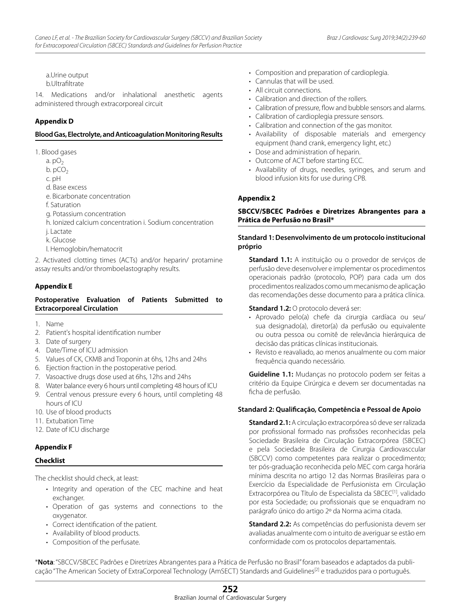a.Urine output b.Ultrafiltrate

14. Medications and/or inhalational anesthetic agents administered through extracorporeal circuit

# **Appendix D**

#### **Blood Gas, Electrolyte, and Anticoagulation Monitoring Results**

1. Blood gases

- a.  $pO<sub>2</sub>$
- $b. pCO<sub>2</sub>$
- c. pH
- d. Base excess
- e. Bicarbonate concentration
- f. Saturation
- g. Potassium concentration
- h. Ionized calcium concentration i. Sodium concentration
- j. Lactate
- k. Glucose
- l. Hemoglobin/hematocrit

2. Activated clotting times (ACTs) and/or heparin/ protamine assay results and/or thromboelastography results.

# **Appendix E**

# **Postoperative Evaluation of Patients Submitted to Extracorporeal Circulation**

- 1. Name
- 2. Patient's hospital identification number
- 3. Date of surgery
- 4. Date/Time of ICU admission
- 5. Values of CK, CKMB and Troponin at 6hs, 12hs and 24hs
- 6. Ejection fraction in the postoperative period.
- 7. Vasoactive drugs dose used at 6hs, 12hs and 24hs
- 8. Water balance every 6 hours until completing 48 hours of ICU
- 9. Central venous pressure every 6 hours, until completing 48 hours of ICU
- 10. Use of blood products
- 11. Extubation Time
- 12. Date of ICU discharge

# **Appendix F**

#### **Checklist**

The checklist should check, at least:

- Integrity and operation of the CEC machine and heat exchanger.
- • Operation of gas systems and connections to the oxygenator.
- • Correct identification of the patient.
- Availability of blood products.
- Composition of the perfusate.
- Composition and preparation of cardioplegia.
- Cannulas that will be used.
- All circuit connections.
- Calibration and direction of the rollers.
- Calibration of pressure, flow and bubble sensors and alarms.
- Calibration of cardioplegia pressure sensors.
- Calibration and connection of the gas monitor.
- • Availability of disposable materials and emergency equipment (hand crank, emergency light, etc.)
- Dose and administration of heparin.
- Outcome of ACT before starting ECC.
- • Availability of drugs, needles, syringes, and serum and blood infusion kits for use during CPB.

# **Appendix 2**

# **SBCCV/SBCEC Padrões e Diretrizes Abrangentes para a Prática de Perfusão no Brasil\***

# **Standard 1: Desenvolvimento de um protocolo institucional próprio**

**Standard 1.1:** A instituição ou o provedor de serviços de perfusão deve desenvolver e implementar os procedimentos operacionais padrão (protocolo, POP) para cada um dos procedimentos realizados como um mecanismo de aplicação das recomendações desse documento para a prática clínica.

## **Standard 1.2: O protocolo deverá ser:**

- • Aprovado pelo(a) chefe da cirurgia cardíaca ou seu/ sua designado(a), diretor(a) da perfusão ou equivalente ou outra pessoa ou comitê de relevância hierárquica de decisão das práticas clínicas institucionais.
- • Revisto e reavaliado, ao menos anualmente ou com maior frequência quando necessário.

**Guideline 1.1:** Mudanças no protocolo podem ser feitas a critério da Equipe Cirúrgica e devem ser documentadas na ficha de perfusão.

#### **Standard 2: Qualificação, Competência e Pessoal de Apoio**

**Standard 2.1:** A circulação extracorpórea só deve ser ralizada por profissional formado nas profissões reconhecidas pela Sociedade Brasileira de Circulação Extracorpórea (SBCEC) e pela Sociedade Brasileira de Cirurgia Cardiovasccular (SBCCV) como competentes para realizar o procedimento; ter pós-graduação reconhecida pelo MEC com carga horária mínima descrita no artigo 12 das Normas Brasileiras para o Exercício da Especialidade de Perfusionista em Circulação Extracorpórea ou Título de Especialista da SBCEC<sup>[1]</sup>, validado por esta Sociedade; ou profissionais que se enquadram no parágrafo único do artigo 2º da Norma acima citada.

**Standard 2.2:** As competências do perfusionista devem ser avaliadas anualmente com o intuito de averiguar se estão em conformidade com os protocolos departamentais.

\***Nota**: "SBCCV/SBCEC Padrões e Diretrizes Abrangentes para a Prática de Perfusão no Brasil" foram baseados e adaptados da publicação "The American Society of ExtraCorporeal Technology (AmSECT) Standards and Guidelines<sup>[2]</sup> e traduzidos para o português.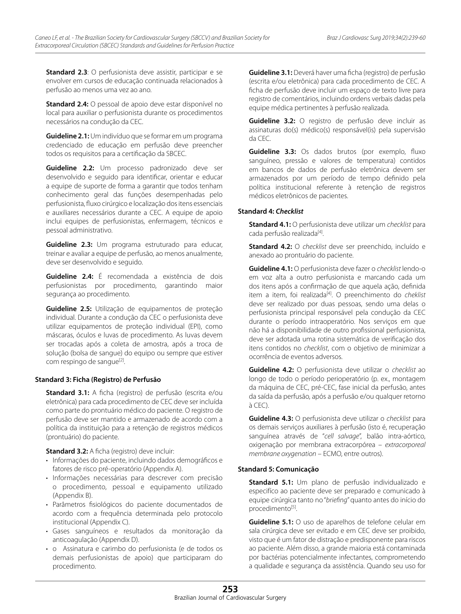**Standard 2.3**: O perfusionista deve assistir, participar e se envolver em cursos de educação continuada relacionados à perfusão ao menos uma vez ao ano.

**Standard 2.4:** O pessoal de apoio deve estar disponível no local para auxiliar o perfusionista durante os procedimentos necessários na condução da CEC.

**Guideline 2.1:** Um indivíduo que se formar em um programa credenciado de educação em perfusão deve preencher todos os requisitos para a certificação da SBCEC.

**Guideline 2.2:** Um processo padronizado deve ser desenvolvido e seguido para identificar, orientar e educar a equipe de suporte de forma a garantir que todos tenham conhecimento geral das funções desempenhadas pelo perfusionista, fluxo cirúrgico e localização dos itens essenciais e auxiliares necessários durante a CEC. A equipe de apoio inclui equipes de perfusionistas, enfermagem, técnicos e pessoal administrativo.

**Guideline 2.3:** Um programa estruturado para educar, treinar e avaliar a equipe de perfusão, ao menos anualmente, deve ser desenvolvido e seguido.

**Guideline 2.4:** É recomendada a existência de dois perfusionistas por procedimento, garantindo maior segurança ao procedimento.

**Guideline 2.5:** Utilização de equipamentos de proteção individual. Durante a condução da CEC o perfusionista deve utilizar equipamentos de proteção individual (EPI), como máscaras, óculos e luvas de procedimento. As luvas devem ser trocadas após a coleta de amostra, após a troca de solução (bolsa de sangue) do equipo ou sempre que estiver com respingo de sangue<sup>[2]</sup>.

#### **Standard 3: Ficha (Registro) de Perfusão**

**Standard 3.1:** A ficha (registro) de perfusão (escrita e/ou eletrônica) para cada procedimento de CEC deve ser incluída como parte do prontuário médico do paciente. O registro de perfusão deve ser mantido e armazenado de acordo com a política da instituição para a retenção de registros médicos (prontuário) do paciente.

**Standard 3.2:** A ficha (registro) deve incluir:

- • Informações do paciente, incluindo dados demográficos e fatores de risco pré-operatório (Appendix A).
- • Informações necessárias para descrever com precisão o procedimento, pessoal e equipamento utilizado (Appendix B).
- • Parâmetros fisiológicos do paciente documentados de acordo com a frequência determinada pelo protocolo institucional (Appendix C).
- • Gases sanguíneos e resultados da monitoração da anticoagulação (Appendix D).
- o Assinatura e carimbo do perfusionista (e de todos os demais perfusionistas de apoio) que participaram do procedimento.

**Guideline 3.1:** Deverá haver uma ficha (registro) de perfusão (escrita e/ou eletrônica) para cada procedimento de CEC. A ficha de perfusão deve incluir um espaço de texto livre para registro de comentários, incluindo ordens verbais dadas pela equipe médica pertinentes à perfusão realizada.

**Guideline 3.2:** O registro de perfusão deve incluir as assinaturas do(s) médico(s) responsável(is) pela supervisão da CEC.

**Guideline 3.3:** Os dados brutos (por exemplo, fluxo sanguíneo, pressão e valores de temperatura) contidos em bancos de dados de perfusão eletrônica devem ser armazenados por um período de tempo definido pela política institucional referente à retenção de registros médicos eletrônicos de pacientes.

# **Standard 4:** *Checklist*

**Standard 4.1:** O perfusionista deve utilizar um *checklist* para cada perfusão realizada<sup>[4]</sup>.

**Standard 4.2:** O *checklist* deve ser preenchido, incluído e anexado ao prontuário do paciente.

**Guideline 4.1:** O perfusionista deve fazer o *checklist* lendo-o em voz alta a outro perfusionista e marcando cada um dos itens após a confirmação de que aquela ação, definida item a item, foi realizada<sup>[4]</sup>. O preenchimento do *cheklist* deve ser realizado por duas pessoas, sendo uma delas o perfusionista principal responsável pela condução da CEC durante o período intraoperatório. Nos serviços em que não há a disponibilidade de outro profissional perfusionista, deve ser adotada uma rotina sistemática de verificação dos itens contidos no *checklist*, com o objetivo de minimizar a ocorrência de eventos adversos.

**Guideline 4.2:** O perfusionista deve utilizar o *checklist* ao longo de todo o período perioperatório (p. ex., montagem da máquina de CEC, pré-CEC, fase inicial da perfusão, antes da saída da perfusão, após a perfusão e/ou qualquer retorno à CEC).

**Guideline 4.3:** O perfusionista deve utilizar o *checklist* para os demais serviços auxiliares à perfusão (isto é, recuperação sanguínea através de "*cell salvage*", balão intra-aórtico, oxigenação por membrana extracorpórea – *extracorporeal membrane oxygenation* – ECMO, entre outros).

#### **Standard 5: Comunicação**

**Standard 5.1:** Um plano de perfusão individualizado e especifíco ao paciente deve ser preparado e comunicado à equipe cirúrgica tanto no "*briefing*" quanto antes do início do procedimento<sup>[5]</sup>.

**Guideline 5.1:** O uso de aparelhos de telefone celular em sala cirúrgica deve ser evitado e em CEC deve ser proibido, visto que é um fator de distração e predisponente para riscos ao paciente. Além disso, a grande maioria está contaminada por bactérias potencialmente infectantes, comprometendo a qualidade e segurança da assistência. Quando seu uso for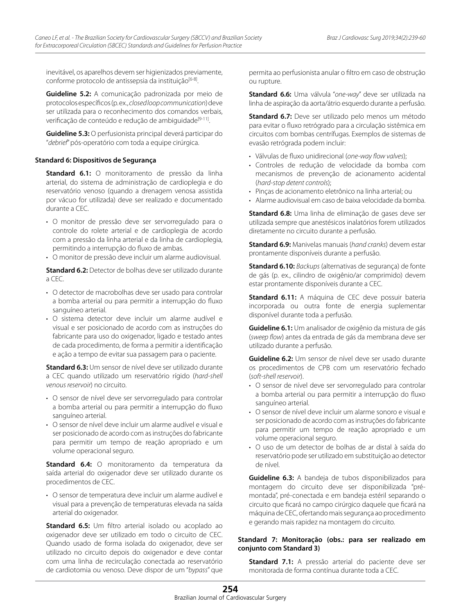inevitável, os aparelhos devem ser higienizados previamente, conforme protocolo de antissepsia da instituição<sup>[6-8]</sup>.

**Guideline 5.2:** A comunicação padronizada por meio de protocolos específicos (p. ex., *closed loop communication*) deve ser utilizada para o reconhecimento dos comandos verbais, verificação de conteúdo e redução de ambiguidade<sup>[9-11]</sup>.

**Guideline 5.3:** O perfusionista principal deverá participar do "*debrief*" pós-operatório com toda a equipe cirúrgica.

# **Standard 6: Dispositivos de Segurança**

**Standard 6.1:** O monitoramento de pressão da linha arterial, do sistema de administração de cardioplegia e do reservatório venoso (quando a drenagem venosa assistida por vácuo for utilizada) deve ser realizado e documentado durante a CEC.

- • O monitor de pressão deve ser servorregulado para o controle do rolete arterial e de cardioplegia de acordo com a pressão da linha arterial e da linha de cardioplegia, permitindo a interrupção do fluxo de ambas.
- • O monitor de pressão deve incluir um alarme audiovisual.

**Standard 6.2:** Detector de bolhas deve ser utilizado durante a CEC.

- O detector de macrobolhas deve ser usado para controlar a bomba arterial ou para permitir a interrupção do fluxo sanguíneo arterial.
- • O sistema detector deve incluir um alarme audível e visual e ser posicionado de acordo com as instruções do fabricante para uso do oxigenador, ligado e testado antes de cada procedimento, de forma a permitir a identificação e ação a tempo de evitar sua passagem para o paciente.

**Standard 6.3:** Um sensor de nível deve ser utilizado durante a CEC quando utilizado um reservatório rígido (*hard-shell venous reservoir*) no circuito.

- O sensor de nível deve ser servorregulado para controlar a bomba arterial ou para permitir a interrupção do fluxo sanguíneo arterial.
- O sensor de nível deve incluir um alarme audível e visual e ser posicionado de acordo com as instruções do fabricante para permitir um tempo de reação apropriado e um volume operacional seguro.

**Standard 6.4:** O monitoramento da temperatura da saída arterial do oxigenador deve ser utilizado durante os procedimentos de CEC.

• O sensor de temperatura deve incluir um alarme audível e visual para a prevenção de temperaturas elevada na saída arterial do oxigenador.

**Standard 6.5:** Um filtro arterial isolado ou acoplado ao oxigenador deve ser utilizado em todo o circuito de CEC. Quando usado de forma isolada do oxigenador, deve ser utilizado no circuito depois do oxigenador e deve contar com uma linha de recirculação conectada ao reservatório de cardiotomia ou venoso. Deve dispor de um "*bypass*" que

permita ao perfusionista anular o filtro em caso de obstrução ou rupture.

**Standard 6.6:** Uma válvula "*one-way*" deve ser utilizada na linha de aspiração da aorta/átrio esquerdo durante a perfusão.

**Standard 6.7:** Deve ser utilizado pelo menos um método para evitar o fluxo retrógrado para a circulação sistêmica em circuitos com bombas centrífugas. Exemplos de sistemas de evasão retrógrada podem incluir:

- • Válvulas de fluxo unidirecional (*one-way flow valves*);
- • Controles de redução de velocidade da bomba com mecanismos de prevenção de acionamento acidental (*hard-stop detent controls*);
- • Pinças de acionamento eletrônico na linha arterial; ou
- Alarme audiovisual em caso de baixa velocidade da bomba.

**Standard 6.8:** Uma linha de eliminação de gases deve ser utilizada sempre que anestésicos inalatórios forem utilizados diretamente no circuito durante a perfusão.

**Standard 6.9:** Manivelas manuais (*hand cranks*) devem estar prontamente disponíveis durante a perfusão.

**Standard 6.10:** *Backups* (alternativas de segurança) de fonte de gás (p. ex., cilindro de oxigênio/ar comprimido) devem estar prontamente disponíveis durante a CEC.

**Standard 6.11:** A máquina de CEC deve possuir bateria incorporada ou outra fonte de energia suplementar disponível durante toda a perfusão.

**Guideline 6.1:** Um analisador de oxigênio da mistura de gás (*sweep flow*) antes da entrada de gás da membrana deve ser utilizado durante a perfusão.

**Guideline 6.2:** Um sensor de nível deve ser usado durante os procedimentos de CPB com um reservatório fechado (*soft-shell reservoir*).

- O sensor de nível deve ser servorregulado para controlar a bomba arterial ou para permitir a interrupção do fluxo sanguíneo arterial.
- O sensor de nível deve incluir um alarme sonoro e visual e ser posicionado de acordo com as instruções do fabricante para permitir um tempo de reação apropriado e um volume operacional seguro.
- • O uso de um detector de bolhas de ar distal à saída do reservatório pode ser utilizado em substituição ao detector de nível.

**Guideline 6.3:** A bandeja de tubos disponibilizados para montagem do circuito deve ser disponibilizada "prémontada", pré-conectada e em bandeja estéril separando o circuito que ficará no campo cirúrgico daquele que ficará na máquina de CEC, ofertando mais segurança ao procedimento e gerando mais rapidez na montagem do circuito.

# **Standard 7: Monitoração (obs.: para ser realizado em conjunto com Standard 3)**

**Standard 7.1:** A pressão arterial do paciente deve ser monitorada de forma contínua durante toda a CEC.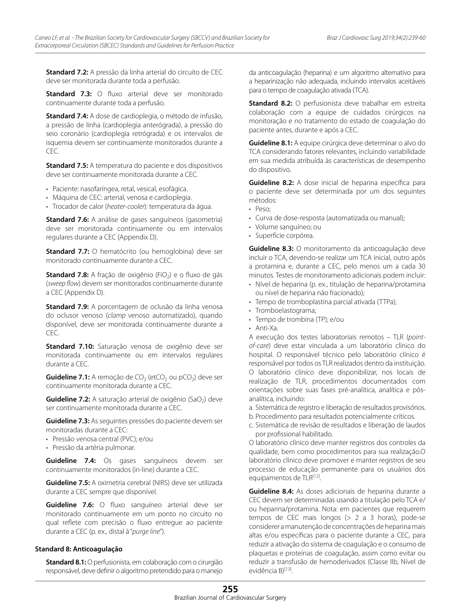**Standard 7.2:** A pressão da linha arterial do circuito de CEC deve ser monitorada durante toda a perfusão.

**Standard 7.3:** O fluxo arterial deve ser monitorado continuamente durante toda a perfusão.

**Standard 7.4:** A dose de cardioplegia, o método de infusão, a pressão de linha (cardioplegia anterógrada), a pressão do seio coronário (cardioplegia retrógrada) e os intervalos de isquemia devem ser continuamente monitorados durante a  $CFC$ 

**Standard 7.5:** A temperatura do paciente e dos dispositivos deve ser continuamente monitorada durante a CEC.

- Paciente: nasofaríngea, retal, vesical, esofágica.
- Máquina de CEC: arterial, venosa e cardioplegia.
- • Trocador de calor (*heater-cooler*): temperatura da água.

**Standard 7.6:** A análise de gases sanguíneos (gasometria) deve ser monitorada continuamente ou em intervalos regulares durante a CEC (Appendix D).

**Standard 7.7:** O hematócrito (ou hemoglobina) deve ser monitorado continuamente durante a CEC.

**Standard 7.8:** A fração de oxigênio (FiO<sub>2</sub>) e o fluxo de gás (*sweep flow*) devem ser monitorados continuamente durante a CEC (Appendix D).

**Standard 7.9:** A porcentagem de oclusão da linha venosa do oclusor venoso (*clamp* venoso automatizado), quando disponível, deve ser monitorada continuamente durante a CEC.

**Standard 7.10:** Saturação venosa de oxigênio deve ser monitorada continuamente ou em intervalos regulares durante a CEC.

**Guideline 7.1:** A remoção de  $CO<sub>2</sub>$  (etCO<sub>2</sub> ou pCO<sub>2</sub>) deve ser continuamente monitorada durante a CEC.

**Guideline 7.2:** A saturação arterial de oxigênio (SaO<sub>2</sub>) deve ser continuamente monitorada durante a CEC.

**Guideline 7.3:** As seguintes pressões do paciente devem ser monitoradas durante a CEC:

- • Pressão venosa central (PVC); e/ou
- • Pressão da artéria pulmonar.

**Guideline 7.4:** Os gases sanguíneos devem ser continuamente monitorados (in-line) durante a CEC.

**Guideline 7.5:** A oximetria cerebral (NIRS) deve ser utilizada durante a CEC sempre que dísponível.

**Guideline 7.6:** O fluxo sanguíneo arterial deve ser monitorado continuamente em um ponto no circuito no qual reflete com precisão o fluxo entregue ao paciente durante a CEC (p. ex., distal à "*purge line*").

#### **Standard 8: Anticoagulação**

**Standard 8.1:** O perfusionista, em colaboração com o cirurgião responsável, deve definir o algoritmo pretendido para o manejo

da anticoagulação (heparina) e um algoritmo alternativo para a heparinização não adequada, incluindo intervalos aceitáveis para o tempo de coagulação ativada (TCA).

**Standard 8.2:** O perfusionista deve trabalhar em estreita colaboração com a equipe de cuidados cirúrgicos na monitoração e no tratamento do estado de coagulação do paciente antes, durante e após a CEC.

**Guideline 8.1:** A equipe cirúrgica deve determinar o alvo do TCA considerando fatores relevantes, incluindo variabilidade em sua medida atribuída às características de desempenho do dispositivo.

**Guideline 8.2:** A dose inicial de heparina específica para o paciente deve ser determinada por um dos seguintes métodos:

- Peso:
- Curva de dose-resposta (automatizada ou manual);
- • Volume sanguíneo; ou
- • Superfície corpórea.

**Guideline 8.3:** O monitoramento da anticoagulação deve incluir o TCA, devendo-se realizar um TCA inicial, outro após a protamina e, durante a CEC, pelo menos um a cada 30 minutos. Testes de monitoramento adicionais podem incluir:

- • Nível de heparina (p. ex., titulação de heparina/protamina ou nível de heparina não fracionado);
- Tempo de tromboplastina parcial ativada (TTPa);
- Tromboelastograma;
- Tempo de trombina (TP): e/ou
- • Anti-Xa.

A execução dos testes laboratoriais remotos – TLR (*pointof-care*) deve estar vinculada a um laboratório clínico do hospital. O responsável técnico pelo laboratório clínico é responsável por todos os TLR realizados dentro da instituição. O laboratório clínico deve disponibilizar, nos locais de realização de TLR, procedimentos documentados com orientações sobre suas fases pré-analítica, analítica e pósanalítica, incluindo:

- a. Sistemática de registro e liberação de resultados provisórios.
- b. Procedimento para resultados potencialmente críticos.
- c. Sistemática de revisão de resultados e liberação de laudos por profissional habilitado.

O laboratório clínico deve manter registros dos controles da qualidade, bem como procedimentos para sua realização.O laboratório clínico deve promover e manter registros de seu processo de educação permanente para os usuários dos equipamentos de TLR<sup>[12]</sup>.

**Guideline 8.4:** As doses adicionais de heparina durante a CEC devem ser determinadas usando a titulação pelo TCA e/ ou heparina/protamina. Nota: em pacientes que requerem tempos de CEC mais longos (> 2 a 3 horas), pode-se considerer a manutenção de concentrações de heparina mais altas e/ou específicas para o paciente durante a CEC, para reduzir a ativação do sistema de coagulação e o consumo de plaquetas e proteínas de coagulação, assim como evitar ou reduzir a transfusão de hemoderivados (Classe IIb, Nível de evidência B)<sup>[13]</sup>.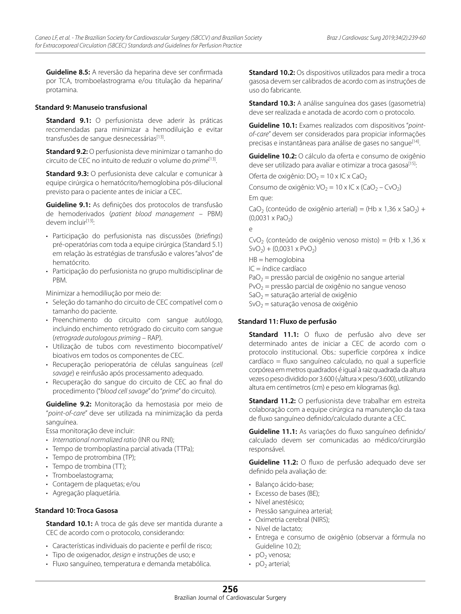**Guideline 8.5:** A reversão da heparina deve ser confirmada por TCA, tromboelastrograma e/ou titulação da heparina/ protamina.

#### **Standard 9: Manuseio transfusional**

**Standard 9.1:** O perfusionista deve aderir às práticas recomendadas para minimizar a hemodiluição e evitar transfusões de sangue desnecessárias<sup>[13]</sup>.

**Standard 9.2:** O perfusionista deve minimizar o tamanho do circuito de CEC no intuito de reduzir o volume do *prime*[13].

**Standard 9.3:** O perfusionista deve calcular e comunicar à equipe cirúrgica o hematócrito/hemoglobina pós-dilucional previsto para o paciente antes de iniciar a CEC.

**Guideline 9.1:** As definições dos protocolos de transfusão de hemoderivados (*patient blood management* – PBM) devem incluir<sup>[13]</sup>:

- • Participação do perfusionista nas discussões (*briefings*) pré-operatórias com toda a equipe cirúrgica (Standard 5.1) em relação às estratégias de transfusão e valores "alvos" de hematócrito.
- • Participação do perfusionista no grupo multidisciplinar de PBM.

Minimizar a hemodiliução por meio de:

- • Seleção do tamanho do circuito de CEC compatível com o tamanho do paciente.
- • Preenchimento do circuito com sangue autólogo, incluindo enchimento retrógrado do circuito com sangue (*retrograde autologous priming* – RAP).
- • Utilização de tubos com revestimento biocompatível/ bioativos em todos os componentes de CEC.
- • Recuperação perioperatória de células sanguíneas (*cell savage*) e reinfusão após processamento adequado.
- • Recuperação do sangue do circuito de CEC ao final do procedimento ("*blood cell savage*" do "*prime*" do circuito).

**Guideline 9.2:** Monitoração da hemostasia por meio de "*point-of-care*" deve ser utilizada na minimização da perda sanguínea.

Essa monitoração deve incluir:

- • *International normalized ratio* (INR ou RNI);
- Tempo de tromboplastina parcial ativada (TTPa);
- Tempo de protrombina (TP);
- Tempo de trombina (TT);
- Tromboelastograma;
- • Contagem de plaquetas; e/ou
- • Agregação plaquetária.

# **Standard 10: Troca Gasosa**

**Standard 10.1:** A troca de gás deve ser mantida durante a CEC de acordo com o protocolo, considerando:

- Características individuais do paciente e perfil de risco;
- • Tipo de oxigenador, *design* e instruções de uso; e
- • Fluxo sanguíneo, temperatura e demanda metabólica.

**Standard 10.2:** Os dispositivos utilizados para medir a troca gasosa devem ser calibrados de acordo com as instruções de uso do fabricante.

**Standard 10.3:** A análise sanguínea dos gases (gasometria) deve ser realizada e anotada de acordo com o protocolo.

**Guideline 10.1:** Exames realizados com dispositivos "*pointof-care*" devem ser considerados para propiciar informações precisas e instantâneas para análise de gases no sanque<sup>[14]</sup>.

**Guideline 10.2:** O cálculo da oferta e consumo de oxigênio deve ser utilizado para avaliar e otimizar a troca gasosa<sup>[15]</sup>:

Oferta de oxigênio:  $DO<sub>2</sub> = 10 \times IC \times CaO<sub>2</sub>$ 

Consumo de oxigênio: VO<sub>2</sub> = 10 x IC x (CaO<sub>2</sub> – CvO<sub>2</sub>)

Em que:

CaO<sub>2</sub> (conteúdo de oxigênio arterial) = (Hb x 1,36 x SaO<sub>2</sub>) +  $(0,0031 \times PaO<sub>2</sub>)$ 

e

CvO<sub>2</sub> (conteúdo de oxigênio venoso misto) = (Hb x 1,36 x  $SvO<sub>2</sub>$ ) + (0,0031 x PvO<sub>2</sub>)

HB = hemoglobina

IC = índice cardíaco

 $PaO<sub>2</sub>$  = pressão parcial de oxigênio no sangue arterial

 $PvO<sub>2</sub>$  = pressão parcial de oxigênio no sangue venoso

 $SaO<sub>2</sub> =$  saturação arterial de oxigênio

 $SvO<sub>2</sub>$  = saturação venosa de oxigênio

#### **Standard 11: Fluxo de perfusão**

**Standard 11.1:** O fluxo de perfusão alvo deve ser determinado antes de iniciar a CEC de acordo com o protocolo institucional. Obs.: superfície corpórea x índice cardíaco = fluxo sanguíneo calculado, no qual a superfície corpórea em metros quadrados é igual à raiz quadrada da altura vezes o peso dividido por 3.600 (√altura × peso/3.600), utilizando altura em centímetros (cm) e peso em kilogramas (kg).

**Standard 11.2:** O perfusionista deve trabalhar em estreita colaboração com a equipe cirúrgica na manutenção da taxa de fluxo sanguíneo definido/calculado durante a CEC.

**Guideline 11.1:** As variações do fluxo sanguíneo definido/ calculado devem ser comunicadas ao médico/cirurgião responsável.

**Guideline 11.2:** O fluxo de perfusão adequado deve ser definido pela avaliação de:

- • Balanço ácido-base;
- Excesso de bases (BE);
- Nível anestésico;
- • Pressão sanguinea arterial;
- Oximetria cerebral (NIRS):
- Nível de lactato:
- • Entrega e consumo de oxigênio (observar a fórmula no Guideline 10.2);
- $pO<sub>2</sub>$  venosa;
- $pO<sub>2</sub>$  arterial;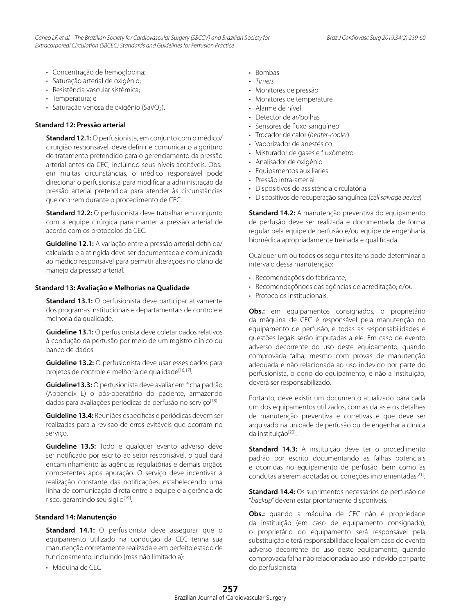- • Concentração de hemoglobina;
- • Saturação arterial de oxigênio;
- • Resistência vascular sistêmica;
- Temperatura: e
- $\cdot$  Saturação venosa de oxigênio (SaVO<sub>2</sub>).

#### **Standard 12: Pressão arterial**

**Standard 12.1:** O perfusionista, em conjunto com o médico/ cirurgião responsável, deve definir e comunicar o algoritmo de tratamento pretendido para o gerenciamento da pressão arterial antes da CEC, incluindo seus níveis aceitáveis. Obs.: em muitas circunstâncias, o médico responsável pode direcionar o perfusionista para modificar a administração da pressão arterial pretendida para atender às circunstâncias que ocorrem durante o procedimento de CEC.

**Standard 12.2:** O perfusionista deve trabalhar em conjunto com a equipe cirúrgica para manter a pressão arterial de acordo com os protocolos da CEC.

**Guideline 12.1:** A variação entre a pressão arterial definida/ calculada e a atingida deve ser documentada e comunicada ao médico responsável para permitir alterações no plano de manejo da pressão arterial.

#### **Standard 13: Avaliação e Melhorias na Qualidade**

**Standard 13.1:** O perfusionista deve participar ativamente dos programas institucionais e departamentais de controle e melhoria da qualidade.

**Guideline 13.1:** O perfusionista deve coletar dados relativos à condução da perfusão por meio de um registro clínico ou banco de dados.

**Guideline 13.2:** O perfusionista deve usar esses dados para projetos de controle e melhoria de qualidade<sup>[16,17]</sup>.

**Guideline13.3:** O perfusionista deve avaliar em ficha padrão (Appendix E) o pós-operatório do paciente, armazendo dados para avaliações periódicas da perfusão no serviço<sup>[18]</sup>.

**Guideline 13.4:** Reuniões específicas e periódicas devem ser realizadas para a revisao de erros evitáveis que ocorram no serviço.

**Guideline 13.5:** Todo e qualquer evento adverso deve ser notificado por escrito ao setor responsável, o qual dará encaminhamento às agências regulatórias e demais orgãos competentes após apuração. O serviço deve incentivar a realização constante das notificações, estabelecendo uma linha de comunicação direta entre a equipe e a gerência de risco, garantindo seu sigilo $[19]$ .

#### **Standard 14: Manutenção**

**Standard 14.1:** O perfusionista deve assegurar que o equipamento utilizado na condução da CEC tenha sua manutenção corretamente realizada e em perfeito estado de funcionamento, incluindo (mas não limitado a):

• Máquina de CEC

- • Bombas
- • *Timers*
- • Monitores de pressão
- • Monitores de temperature
- • Alarme de nível
- Detector de ar/bolhas
- • Sensores de fluxo sanguíneo
- • Trocador de calor (*heater-cooler*)
- • Vaporizador de anestésico
- • Misturador de gases e fluxômetro
- • Analisador de oxigênio
- • Equipamentos auxiliaries
- Pressão intra-arterial
- • Dispositivos de assistência circulatória
- • Dispositivos de recuperação sanguínea (*cell salvage device*)

**Standard 14.2:** A manutenção preventiva do equipamento de perfusão deve ser realizada e documentada de forma regular pela equipe de perfusão e/ou equipe de engenharia biomédica apropriadamente treinada e qualificada.

Qualquer um ou todos os seguintes itens pode determinar o intervalo dessa manutenção:

- • Recomendações do fabricante;
- • Recomendaçõnoes das agências de acreditação; e/ou
- Protocolos institucionais.

**Obs.:** em equipamentos consignados, o proprietário da máquina de CEC é responsável pela manutenção no equipamento de perfusão, e todas as responsabilidades e questões legais serão imputadas a ele. Em caso de evento adverso decorrente do uso deste equipamento, quando comprovada falha, mesmo com provas de manutenção adequada e não relacionada ao uso indevido por parte do perfusionista, o dono do equipamento, e não a instituição, deverá ser responsabilizado.

Portanto, deve existir um documento atualizado para cada um dos equipamentos utilizados, com as datas e os detalhes de manutenção preventiva e corretivas e que deve ser arquivado na unidade de perfusão ou de engenharia clínica da instituição<sup>[20]</sup>.

**Standard 14.3:** A instituição deve ter o procedimento padrão por escrito documentando as falhas potenciais e ocorridas no equipamento de perfusão, bem como as condutas a serem adotadas ou correções implementadas<sup>[21]</sup>.

**Standard 14.4:** Os suprimentos necessários de perfusão de "*backup*" devem estar prontamente disponíveis.

**Obs.:** quando a máquina de CEC não é propriedade da instituição (em caso de equipamento consignado), o proprietário do equipamento será responsável pela substituição e terá responsabilidade legal em caso de evento adverso decorrente do uso deste equipamento, quando comprovada falha não relacionada ao uso indevido por parte do perfusionista.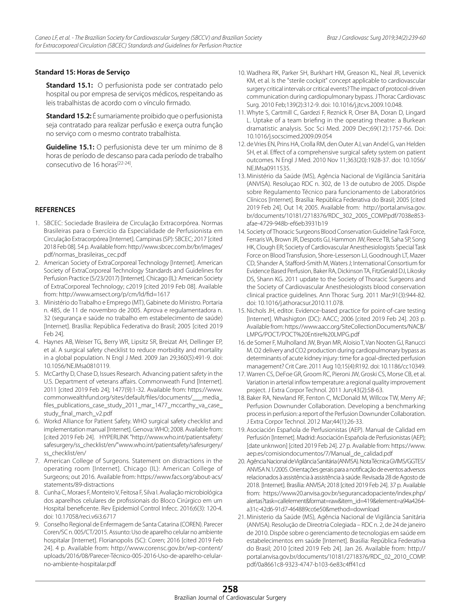#### **Standard 15: Horas de Serviço**

**Standard 15.1:** O perfusionista pode ser contratado pelo hospital ou por empresa de serviços médicos, respeitando as leis trabalhistas de acordo com o vínculo firmado.

**Standard 15.2:** É sumariamente proibido que o perfusionista seja contratado para realizar perfusão e exerça outra função no serviço com o mesmo contrato trabalhista.

**Guideline 15.1:** O perfusionista deve ter um mínimo de 8 horas de período de descanso para cada período de trabalho consecutivo de 16 horas<sup>[22-24]</sup>.

# **REFERENCES**

- 1. SBCEC: Sociedade Brasileira de Circulação Extracorpórea. Normas Brasileiras para o Exercício da Especialidade de Perfusionista em Circulação Extracorpórea [Internet]. Campinas (SP): SBCEC; 2017 [cited 2018 Feb 08]. 54 p. Available from: http://www.sbcec.com.br/br/images/ pdf/normas\_brasileiras\_cec.pdf
- 2. American Society of ExtraCorporeal Technology [Internet]. American Society of ExtraCorporeal Technology Standards and Guidelines for Perfusion Practice (5/23/2017) [Internet]. Chicago (IL): American Society of ExtraCorporeal Technology; c2019 [cited 2019 Feb 08]. Available from: http://www.amsect.org/p/cm/ld/fid=1617
- 3. Ministério do Trabalho e Emprego (MT), Gabinete do Ministro. Portaria n. 485, de 11 de novembro de 2005. Aprova e regulamentadora n. 32 (segurança e saúde no trabalho em estabelecimento de saúde) [Internet]. Brasília: República Federativa do Brasil; 2005 [cited 2019 Feb 24].
- 4. Haynes AB, Weiser TG, Berry WR, Lipsitz SR, Breizat AH, Dellinger EP, et al. A surgical safety checklist to reduce morbidity and mortality in a global population. N Engl J Med. 2009 Jan 29;360(5):491-9. doi: 10.1056/NEJMsa0810119.
- 5. McCarthy D, Chase D, Issues Research. Advancing patient safety in the U.S. Department of veterans affairs. Commonweath Fund [Internet]. 2011 [cited 2019 Feb 24]; 1477(9):1-32. Available from: https://www. commonwealthfund.org/sites/default/files/documents/\_\_\_media\_ files\_publications\_case\_study\_2011\_mar\_1477\_mccarthy\_va\_case\_ study\_final\_march\_v2.pdf
- 6. Workd Alliance for Patient Safety. WHO surgical safety checklist and implementation manual [Internet]. Genova: WHO; 2008. Available from: [cited 2019 Feb 24]. HYPERLINK "http://www.who.int/patientsafety/ safesurgery/ss\_checklist/en/"www.who.int/patientsafety/safesurgery/ ss\_checklist/en/
- 7. American College of Surgeons. Statement on distractions in the operating room [Internet]. Chicago (IL): American College of Surgeons; out 2016. Available from: https://www.facs.org/about-acs/ statements/89-distractions
- 8. Cunha C, Moraes F, Monteiro V, Feitosa F, Silva I. Avaliação microbiológica dos aparelhos celulares de profissionais do Bloco Cirúrgico em um Hospital beneficente. Rev Epidemiol Control Infecc. 2016;6(3): 120-4. doi: 10.17058/reci.v6i3.6717
- 9. Conselho Regional de Enfermagem de Santa Catarina (COREN). Parecer Coren/SC n. 005/CT/2015. Assunto: Uso de aparelho celular no ambiente hospitalar [Internet]. Florianopolis (SC): Coren; 2016 [cited 2019 Feb 24]. 4 p. Available from: http://www.corensc.gov.br/wp-content/ uploads/2016/08/Parecer-Técnico-005-2016-Uso-de-aparelho-celularno-ambiente-hospitalar.pdf
- 10. Wadhera RK, Parker SH, Burkhart HM, Greason KL, Neal JR, Levenick KM, et al. Is the "sterile cockpit" concept applicable to cardiovascular surgery critical intervals or critical events? The impact of protocol-driven communication during cardiopulmonary bypass. J Thorac Cardiovasc Surg. 2010 Feb;139(2):312-9. doi: 10.1016/j.jtcvs.2009.10.048.
- 11. Whyte S, Cartmill C, Gardezi F, Reznick R, Orser BA, Doran D, Lingard L. Uptake of a team briefing in the operating theatre: a Burkean dramatistic analysis. Soc Sci Med. 2009 Dec;69(12):1757-66. Doi: 10.1016/j.socscimed.2009.09.054
- 12. de Vries EN, Prins HA, Crolla RM, den Outer AJ, van Andel G, van Helden SH, et al. Effect of a comprehensive surgical safety system on patient outcomes. N Engl J Med. 2010 Nov 11;363(20):1928-37. doi: 10.1056/ NEJMsa0911535.
- 13. Ministério da Saúde (MS), Agência Nacional de Vigilância Sanitária (ANVISA). Resoluçao RDC n. 302, de 13 de outubro de 2005. Dispõe sobre Regulamento Técnico para funcionamento de Laboratórios Clínicos [Internet]. Brasília: República Federativa do Brasil; 2005 [cited 2019 Feb 24]. Out 14; 2005. Available from: http://portal.anvisa.gov. br/documents/10181/2718376/RDC\_302\_2005\_COMP.pdf/7038e853 afae-4729-948b-ef6eb3931b19
- 14. Society of Thoracic Surgeons Blood Conservation Guideline Task Force, Ferraris VA, Brown JR, Despotis GJ, Hammon JW, Reece TB, Saha SP, Song HK, Clough ER; Society of Cardiovascular Anesthesiologists Special Task Force on Blood Transfusion, Shore-Lesserson LJ, Goodnough LT, Mazer CD, Shander A, Stafford-Smith M, Waters J; International Consortium for Evidence Based Perfusion, Baker RA, Dickinson TA, FitzGerald DJ, Likosky DS, Shann KG. 2011 update to the Society of Thoracic Surgeons and the Society of Cardiovascular Anesthesiologists blood conservation clinical practice guidelines. Ann Thorac Surg. 2011 Mar;91(3):944-82. doi: 10.1016/j.athoracsur.2010.11.078.
- 15. Nichols JH, editor. Evidence-based practice for point-of-care testing [Internet]. Whashigton (DC): AACC; 2006 [cited 2019 Feb 24]. 203 p. Available from: https://www.aacc.org/SiteCollectionDocuments/NACB/ LMPG/POCT/POCT%20Entire%20LMPG.pdf
- 16. de Somer F, Mulholland JW, Bryan MR, Aloisio T, Van Nooten GJ, Ranucci M. O2 delivery and CO2 production during cardiopulmonary bypass as determinants of acute kidney injury: time for a goal-directed perfusion management? Crit Care. 2011 Aug 10;15(4):R192. doi: 10.1186/cc10349.
- 17. Warren CS, DeFoe GR, Groom RC, Pieroni JW, Groski CS, Morse CB, et al. Variation in arterial inflow temperature: a regional quality improvement project. J Extra Corpor Technol. 2011 Jun;43(2):58-63.
- 18. Baker RA, Newland RF, Fenton C, McDonald M, Willcox TW, Merry AF; Perfusion Downunder Collaboration. Developing a benchmarking process in perfusion: a report of the Perfusion Downunder Collaboration. J Extra Corpor Technol. 2012 Mar;44(1):26-33.
- 19. Asociación Española de Perfusionistas (AEP). Manual de Calidad em Perfusión [Internet]. Madrid: Asociación Española de Perfusionistas (AEP); [date unknwon] [cited 2019 Feb 24]. 27 p. Available from: https://www. aep.es/comisiondocumentos/7/Manual\_de\_calidad.pdf
- 20. Agência Nacional de Vigilância Sanitária (ANVISA). Nota Técnica GVIMS/GGTES/ ANVISA N.1/2005. Orientações gerais para a notificação de eventos adversos relacionados à assistência à assistência à saúde. Revisada 28 de Agosto de 2018. [Internet]. Brasília: ANVISA; 2018 [cited 2019 Feb 24]. 37 p. Available from: https://www20.anvisa.gov.br/segurancadopaciente/index.php/ alertas?task=callelement&format=raw&item\_id=419&element=a94a4264 a31c-42d6-91d7-464889cc6e50&method=download
- 21. Ministerio da Saúde (MS), Agência Nacional de Vigilância Sanitária (ANVISA). Resolução de Direotria Colegiada – RDC n. 2, de 24 de janeiro de 2010. Dispõe sobre o gerenciamento de tecnologias em saúde em estabelecimentos em saúde [Internet]. Brasilia: República Federativa do Brasil; 2010 [cited 2019 Feb 24]. Jan 26. Available from: http:// portal.anvisa.gov.br/documents/10181/2718376/RDC\_02\_2010\_COMP. pdf/0a8661c8-9323-4747-b103-6e83c4ff41cd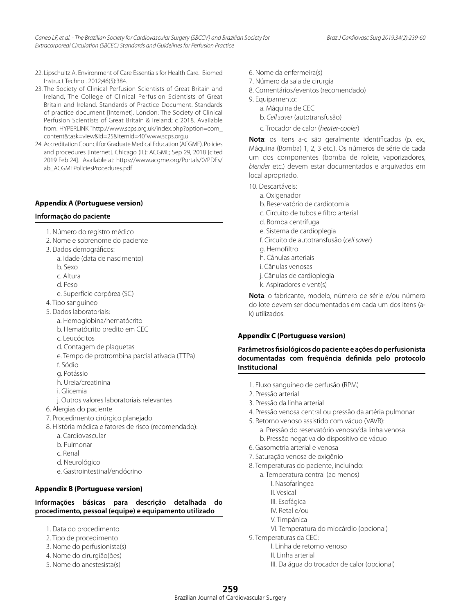- 22. Lipschultz A. Environment of Care Essentials for Health Care. Biomed Instruct Technol. 2012;46(5):384.
- 23. The Society of Clinical Perfusion Scientists of Great Britain and Ireland, The College of Clinical Perfusion Scientists of Great Britain and Ireland. Standards of Practice Document. Standards of practice document [Internet]. London: The Society of Clinical Perfusion Scientists of Great Britain & Ireland; c 2018. Available from: HYPERLINK "http://www.scps.org.uk/index.php?option=com\_ content&task=view&id=25&Itemid=40"www.scps.org.u
- 24. Accreditation Council for Graduate Medical Education (ACGME). Policies and procedures [Internet]. Chicago (IL): ACGME; Sep 29, 2018 [cited 2019 Feb 24]. Available at: https://www.acgme.org/Portals/0/PDFs/ ab\_ACGMEPoliciesProcedures.pdf

#### **Appendix A (Portuguese version)**

#### **Informação do paciente**

- 1. Número do registro médico
- 2. Nome e sobrenome do paciente
- 3. Dados demográficos:
	- a. Idade (data de nascimento)
	- b. Sexo
	- c. Altura
	- d. Peso
	- e. Superfície corpórea (SC)
- 4. Tipo sanguíneo
- 5. Dados laboratoriais:
	- a. Hemoglobina/hematócrito
	- b. Hematócrito predito em CEC
	- c. Leucócitos
	- d. Contagem de plaquetas
	- e. Tempo de protrombina parcial ativada (TTPa) f. Sódio
	- g. Potássio
	- h. Ureia/creatinina
	- i. Glicemia
	- j. Outros valores laboratoriais relevantes
- 6. Alergias do paciente
- 7. Procedimento cirúrgico planejado
- 8. História médica e fatores de risco (recomendado):
	- a. Cardiovascular
	- b. Pulmonar
	- c. Renal
	- d. Neurológico
	- e. Gastrointestinal/endócrino

#### **Appendix B (Portuguese version)**

# **Informações básicas para descrição detalhada do procedimento, pessoal (equipe) e equipamento utilizado**

- 1. Data do procedimento
- 2. Tipo de procedimento
- 3. Nome do perfusionista(s)
- 4. Nome do cirurgião(ões)
- 5. Nome do anestesista(s)
- 6. Nome da enfermeira(s)
- 7. Número da sala de cirurgia
- 8. Comentários/eventos (recomendado)
- 9. Equipamento:
	- a. Máquina de CEC
	- b. *Cell saver* (autotransfusão)
	- c. Trocador de calor (*heater-cooler*)

**Nota**: os itens a-c são geralmente identificados (p. ex., Máquina (Bomba) 1, 2, 3 etc.). Os números de série de cada um dos componentes (bomba de rolete, vaporizadores, *blender* etc.) devem estar documentados e arquivados em local apropriado.

- 10. Descartáveis:
	- a. Oxigenador
	- b. Reservatório de cardiotomia
	- c. Circuito de tubos e filtro arterial
	- d. Bomba centrífuga
	- e. Sistema de cardioplegia
	- f. Circuito de autotransfusão (*cell saver*)
	- g. Hemofiltro
	- h. Cânulas arteriais
	- i. Cânulas venosas
	- j. Cânulas de cardioplegia
	- k. Aspiradores e vent(s)

**Nota**: o fabricante, modelo, número de série e/ou número do lote devem ser documentados em cada um dos itens (ak) utilizados.

#### **Appendix C (Portuguese version)**

**Parâmetros fisiológicos do paciente e ações do perfusionista documentadas com frequência definida pelo protocolo Institucional**

- 1. Fluxo sanguíneo de perfusão (RPM)
- 2. Pressão arterial
- 3. Pressão da linha arterial
- 4. Pressão venosa central ou pressão da artéria pulmonar
- 5. Retorno venoso assistido com vácuo (VAVR):
	- a. Pressão do reservatório venoso/da linha venosa b. Pressão negativa do dispositivo de vácuo
- 6. Gasometria arterial e venosa
- 7. Saturação venosa de oxigênio
- 8. Temperaturas do paciente, incluindo:
	- a. Temperatura central (ao menos)
		- I. Nasofaríngea
		- II. Vesical
		- III. Esofágica
		- IV. Retal e/ou
		- V. Timpânica
		- VI. Temperatura do miocárdio (opcional)
- 9. Temperaturas da CEC:
	- I. Linha de retorno venoso
	- II. Linha arterial
		- III. Da água do trocador de calor (opcional)